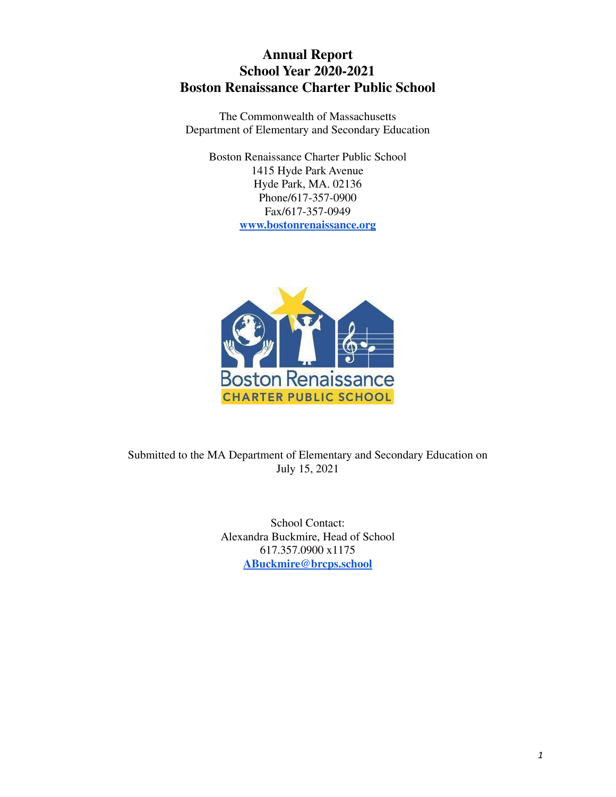# **Annual Report School Year 2020-2021 Boston Renaissance Charter Public School**

The Commonwealth of Massachusetts Department of Elementary and Secondary Education

Boston Renaissance Charter Public School 1415 Hyde Park Avenue Hyde Park, MA. 02136 Phone/617-357-0900 Fax/617-357-0949 **[www.bostonrenaissance.org](http://www.bostonrenaissance.org/)**



Submitted to the MA Department of Elementary and Secondary Education on July 15, 2021

> School Contact: Alexandra Buckmire, Head of School 617.357.0900 x1175 **ABuckmire@brcps.school**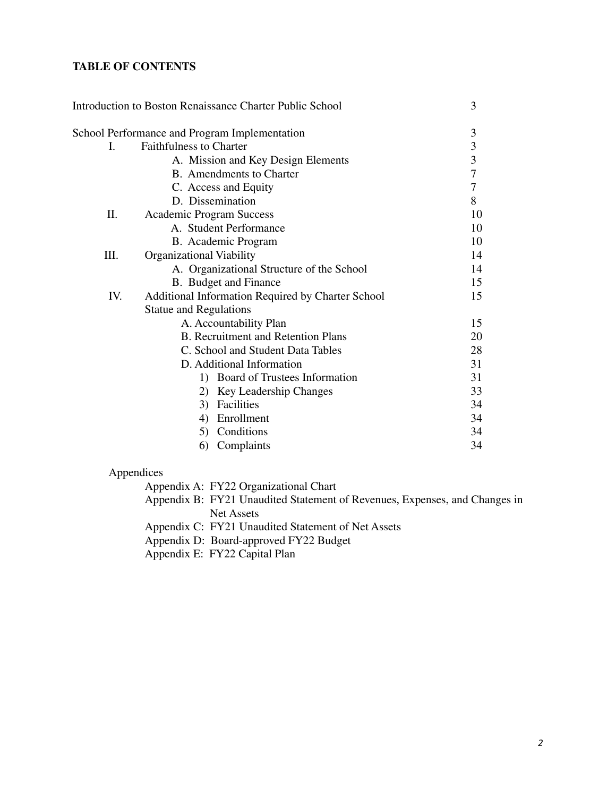## **TABLE OF CONTENTS**

|     | Introduction to Boston Renaissance Charter Public School | 3              |
|-----|----------------------------------------------------------|----------------|
|     | School Performance and Program Implementation            | 3              |
| L.  | <b>Faithfulness to Charter</b>                           |                |
|     | A. Mission and Key Design Elements                       | $\frac{3}{3}$  |
|     | B. Amendments to Charter                                 | $\overline{7}$ |
|     | C. Access and Equity                                     | $\overline{7}$ |
|     | D. Dissemination                                         | 8              |
| Π.  | Academic Program Success                                 | 10             |
|     | A. Student Performance                                   | 10             |
|     | B. Academic Program                                      | 10             |
| Ш.  | Organizational Viability                                 | 14             |
|     | A. Organizational Structure of the School                | 14             |
|     | B. Budget and Finance                                    | 15             |
| IV. | Additional Information Required by Charter School        | 15             |
|     | <b>Statue and Regulations</b>                            |                |
|     | A. Accountability Plan                                   | 15             |
|     | <b>B.</b> Recruitment and Retention Plans                | 20             |
|     | C. School and Student Data Tables                        | 28             |
|     | D. Additional Information                                | 31             |
|     | 1) Board of Trustees Information                         | 31             |
|     | 2) Key Leadership Changes                                | 33             |
|     | 3) Facilities                                            | 34             |
|     | Enrollment<br>4)                                         | 34             |
|     | 5) Conditions                                            | 34             |
|     | Complaints<br>6)                                         | 34             |
|     |                                                          |                |

## Appendices

Appendix A: FY22 Organizational Chart

Appendix B: FY21 Unaudited Statement of Revenues, Expenses, and Changes in Net Assets

Appendix C: FY21 Unaudited Statement of Net Assets

Appendix D: Board-approved FY22 Budget

Appendix E: FY22 Capital Plan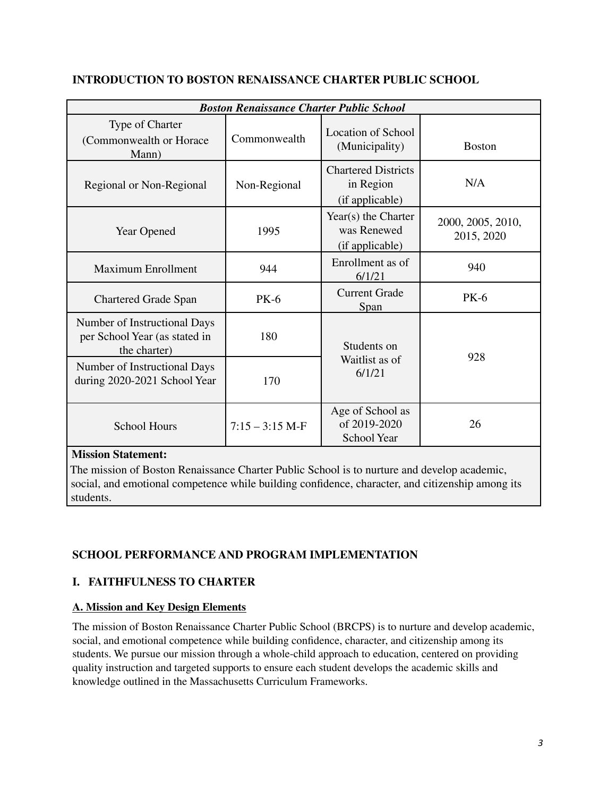|                                                                               | <b>Boston Renaissance Charter Public School</b> |                                                            |                                 |  |  |
|-------------------------------------------------------------------------------|-------------------------------------------------|------------------------------------------------------------|---------------------------------|--|--|
| Type of Charter<br>(Commonwealth or Horace<br>Mann)                           | Commonwealth                                    | <b>Location of School</b><br>(Municipality)                | <b>Boston</b>                   |  |  |
| Regional or Non-Regional                                                      | Non-Regional                                    | <b>Chartered Districts</b><br>in Region<br>(if applicable) | N/A                             |  |  |
| Year Opened                                                                   | 1995                                            | Year(s) the Charter<br>was Renewed<br>(if applicable)      | 2000, 2005, 2010,<br>2015, 2020 |  |  |
| <b>Maximum Enrollment</b>                                                     | 944                                             | Enrollment as of<br>6/1/21                                 | 940                             |  |  |
| <b>Chartered Grade Span</b>                                                   | <b>PK-6</b>                                     | <b>Current Grade</b><br>Span                               | <b>PK-6</b>                     |  |  |
| Number of Instructional Days<br>per School Year (as stated in<br>the charter) | 180                                             | Students on                                                | 928                             |  |  |
| Number of Instructional Days<br>during 2020-2021 School Year                  | 170                                             | Waitlist as of<br>6/1/21                                   |                                 |  |  |
| <b>School Hours</b>                                                           | $7:15 - 3:15$ M-F                               | Age of School as<br>of 2019-2020<br>School Year            | 26                              |  |  |

## **INTRODUCTION TO BOSTON RENAISSANCE CHARTER PUBLIC SCHOOL**

## **Mission Statement:**

The mission of Boston Renaissance Charter Public School is to nurture and develop academic, social, and emotional competence while building confidence, character, and citizenship among its students.

## **SCHOOL PERFORMANCE AND PROGRAM IMPLEMENTATION**

## **I. FAITHFULNESS TO CHARTER**

## **A. Mission and Key Design Elements**

The mission of Boston Renaissance Charter Public School (BRCPS) is to nurture and develop academic, social, and emotional competence while building confidence, character, and citizenship among its students. We pursue our mission through a whole-child approach to education, centered on providing quality instruction and targeted supports to ensure each student develops the academic skills and knowledge outlined in the Massachusetts Curriculum Frameworks.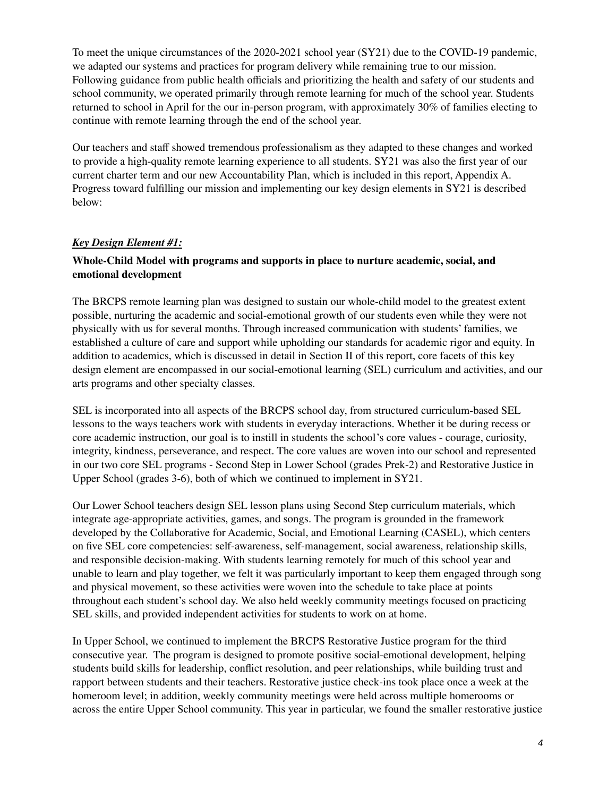To meet the unique circumstances of the 2020-2021 school year (SY21) due to the COVID-19 pandemic, we adapted our systems and practices for program delivery while remaining true to our mission. Following guidance from public health officials and prioritizing the health and safety of our students and school community, we operated primarily through remote learning for much of the school year. Students returned to school in April for the our in-person program, with approximately 30% of families electing to continue with remote learning through the end of the school year.

Our teachers and staff showed tremendous professionalism as they adapted to these changes and worked to provide a high-quality remote learning experience to all students. SY21 was also the first year of our current charter term and our new Accountability Plan, which is included in this report, Appendix A. Progress toward fulfilling our mission and implementing our key design elements in SY21 is described below:

## *Key Design Element #1:*

#### **Whole-Child Model with programs and supports in place to nurture academic, social, and emotional development**

The BRCPS remote learning plan was designed to sustain our whole-child model to the greatest extent possible, nurturing the academic and social-emotional growth of our students even while they were not physically with us for several months. Through increased communication with students' families, we established a culture of care and support while upholding our standards for academic rigor and equity. In addition to academics, which is discussed in detail in Section II of this report, core facets of this key design element are encompassed in our social-emotional learning (SEL) curriculum and activities, and our arts programs and other specialty classes.

SEL is incorporated into all aspects of the BRCPS school day, from structured curriculum-based SEL lessons to the ways teachers work with students in everyday interactions. Whether it be during recess or core academic instruction, our goal is to instill in students the school's core values - courage, curiosity, integrity, kindness, perseverance, and respect. The core values are woven into our school and represented in our two core SEL programs - Second Step in Lower School (grades Prek-2) and Restorative Justice in Upper School (grades 3-6), both of which we continued to implement in SY21.

Our Lower School teachers design SEL lesson plans using Second Step curriculum materials, which integrate age-appropriate activities, games, and songs. The program is grounded in the framework developed by the Collaborative for Academic, Social, and Emotional Learning (CASEL), which centers on five SEL core competencies: self-awareness, self-management, social awareness, relationship skills, and responsible decision-making. With students learning remotely for much of this school year and unable to learn and play together, we felt it was particularly important to keep them engaged through song and physical movement, so these activities were woven into the schedule to take place at points throughout each student's school day. We also held weekly community meetings focused on practicing SEL skills, and provided independent activities for students to work on at home.

In Upper School, we continued to implement the BRCPS Restorative Justice program for the third consecutive year. The program is designed to promote positive social-emotional development, helping students build skills for leadership, conflict resolution, and peer relationships, while building trust and rapport between students and their teachers. Restorative justice check-ins took place once a week at the homeroom level; in addition, weekly community meetings were held across multiple homerooms or across the entire Upper School community. This year in particular, we found the smaller restorative justice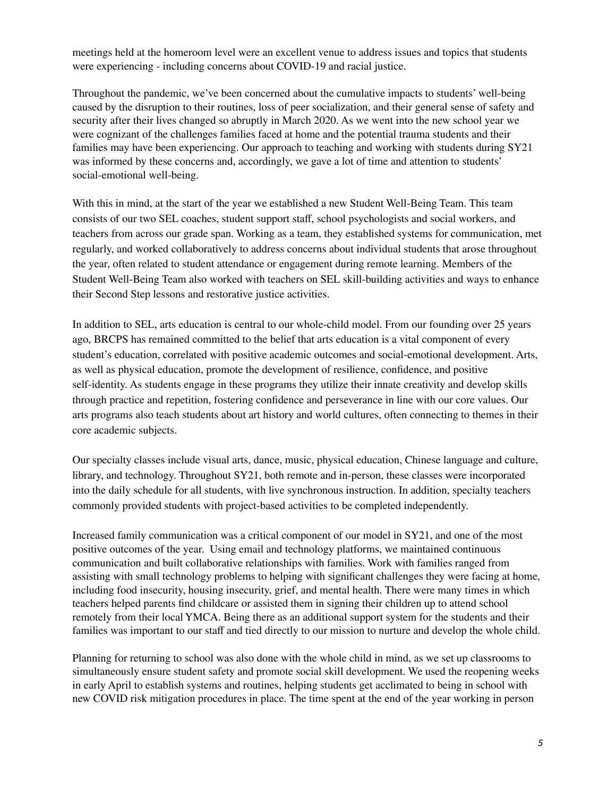meetings held at the homeroom level were an excellent venue to address issues and topics that students were experiencing - including concerns about COVID-19 and racial justice.

Throughout the pandemic, we've been concerned about the cumulative impacts to students' well-being caused by the disruption to their routines, loss of peer socialization, and their general sense of safety and security after their lives changed so abruptly in March 2020. As we went into the new school year we were cognizant of the challenges families faced at home and the potential trauma students and their families may have been experiencing. Our approach to teaching and working with students during SY21 was informed by these concerns and, accordingly, we gave a lot of time and attention to students' social-emotional well-being.

With this in mind, at the start of the year we established a new Student Well-Being Team. This team consists of our two SEL coaches, student support staff, school psychologists and social workers, and teachers from across our grade span. Working as a team, they established systems for communication, met regularly, and worked collaboratively to address concerns about individual students that arose throughout the year, often related to student attendance or engagement during remote learning. Members of the Student Well-Being Team also worked with teachers on SEL skill-building activities and ways to enhance their Second Step lessons and restorative justice activities.

In addition to SEL, arts education is central to our whole-child model. From our founding over 25 years ago, BRCPS has remained committed to the belief that arts education is a vital component of every student's education, correlated with positive academic outcomes and social-emotional development. Arts, as well as physical education, promote the development of resilience, confidence, and positive self-identity. As students engage in these programs they utilize their innate creativity and develop skills through practice and repetition, fostering confidence and perseverance in line with our core values. Our arts programs also teach students about art history and world cultures, often connecting to themes in their core academic subjects.

Our specialty classes include visual arts, dance, music, physical education, Chinese language and culture, library, and technology. Throughout SY21, both remote and in-person, these classes were incorporated into the daily schedule for all students, with live synchronous instruction. In addition, specialty teachers commonly provided students with project-based activities to be completed independently.

Increased family communication was a critical component of our model in SY21, and one of the most positive outcomes of the year. Using email and technology platforms, we maintained continuous communication and built collaborative relationships with families. Work with families ranged from assisting with small technology problems to helping with significant challenges they were facing at home, including food insecurity, housing insecurity, grief, and mental health. There were many times in which teachers helped parents find childcare or assisted them in signing their children up to attend school remotely from their local YMCA. Being there as an additional support system for the students and their families was important to our staff and tied directly to our mission to nurture and develop the whole child.

Planning for returning to school was also done with the whole child in mind, as we set up classrooms to simultaneously ensure student safety and promote social skill development. We used the reopening weeks in early April to establish systems and routines, helping students get acclimated to being in school with new COVID risk mitigation procedures in place. The time spent at the end of the year working in person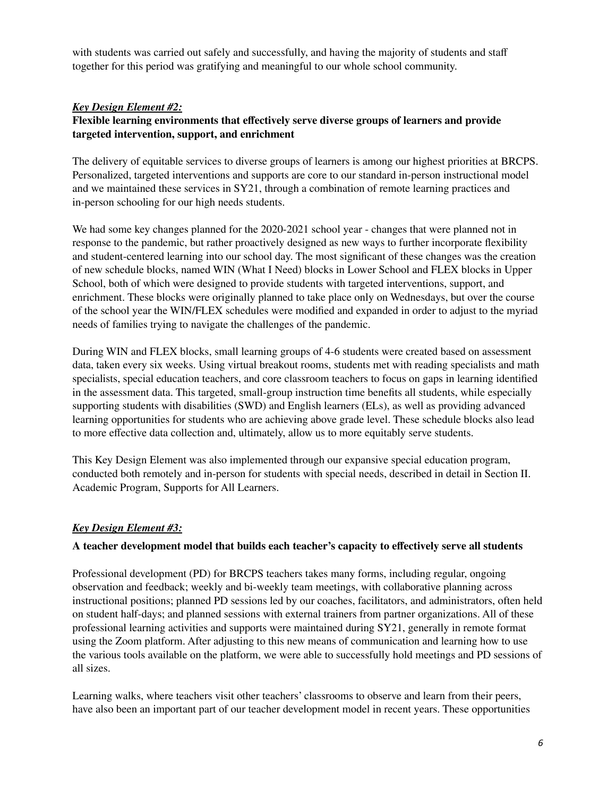with students was carried out safely and successfully, and having the majority of students and staff together for this period was gratifying and meaningful to our whole school community.

## *Key Design Element #2:*

## **Flexible learning environments that effectively serve diverse groups of learners and provide targeted intervention, support, and enrichment**

The delivery of equitable services to diverse groups of learners is among our highest priorities at BRCPS. Personalized, targeted interventions and supports are core to our standard in-person instructional model and we maintained these services in SY21, through a combination of remote learning practices and in-person schooling for our high needs students.

We had some key changes planned for the 2020-2021 school year - changes that were planned not in response to the pandemic, but rather proactively designed as new ways to further incorporate flexibility and student-centered learning into our school day. The most significant of these changes was the creation of new schedule blocks, named WIN (What I Need) blocks in Lower School and FLEX blocks in Upper School, both of which were designed to provide students with targeted interventions, support, and enrichment. These blocks were originally planned to take place only on Wednesdays, but over the course of the school year the WIN/FLEX schedules were modified and expanded in order to adjust to the myriad needs of families trying to navigate the challenges of the pandemic.

During WIN and FLEX blocks, small learning groups of 4-6 students were created based on assessment data, taken every six weeks. Using virtual breakout rooms, students met with reading specialists and math specialists, special education teachers, and core classroom teachers to focus on gaps in learning identified in the assessment data. This targeted, small-group instruction time benefits all students, while especially supporting students with disabilities (SWD) and English learners (ELs), as well as providing advanced learning opportunities for students who are achieving above grade level. These schedule blocks also lead to more effective data collection and, ultimately, allow us to more equitably serve students.

This Key Design Element was also implemented through our expansive special education program, conducted both remotely and in-person for students with special needs, described in detail in Section II. Academic Program, Supports for All Learners.

## *Key Design Element #3:*

## **A teacher development model that builds each teacher's capacity to effectively serve all students**

Professional development (PD) for BRCPS teachers takes many forms, including regular, ongoing observation and feedback; weekly and bi-weekly team meetings, with collaborative planning across instructional positions; planned PD sessions led by our coaches, facilitators, and administrators, often held on student half-days; and planned sessions with external trainers from partner organizations. All of these professional learning activities and supports were maintained during SY21, generally in remote format using the Zoom platform. After adjusting to this new means of communication and learning how to use the various tools available on the platform, we were able to successfully hold meetings and PD sessions of all sizes.

Learning walks, where teachers visit other teachers' classrooms to observe and learn from their peers, have also been an important part of our teacher development model in recent years. These opportunities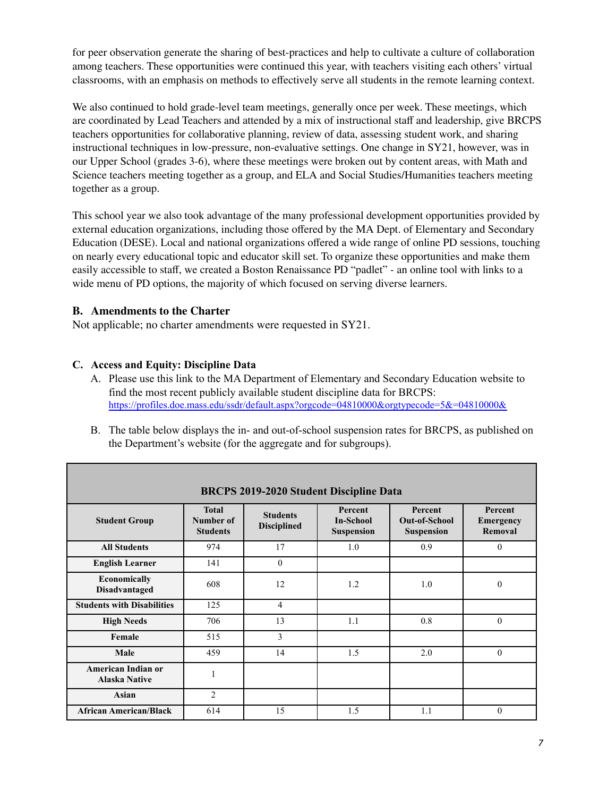for peer observation generate the sharing of best-practices and help to cultivate a culture of collaboration among teachers. These opportunities were continued this year, with teachers visiting each others' virtual classrooms, with an emphasis on methods to effectively serve all students in the remote learning context.

We also continued to hold grade-level team meetings, generally once per week. These meetings, which are coordinated by Lead Teachers and attended by a mix of instructional staff and leadership, give BRCPS teachers opportunities for collaborative planning, review of data, assessing student work, and sharing instructional techniques in low-pressure, non-evaluative settings. One change in SY21, however, was in our Upper School (grades 3-6), where these meetings were broken out by content areas, with Math and Science teachers meeting together as a group, and ELA and Social Studies/Humanities teachers meeting together as a group.

This school year we also took advantage of the many professional development opportunities provided by external education organizations, including those offered by the MA Dept. of Elementary and Secondary Education (DESE). Local and national organizations offered a wide range of online PD sessions, touching on nearly every educational topic and educator skill set. To organize these opportunities and make them easily accessible to staff, we created a Boston Renaissance PD "padlet" - an online tool with links to a wide menu of PD options, the majority of which focused on serving diverse learners.

## **B. Amendments to the Charter**

Not applicable; no charter amendments were requested in SY21.

#### **C. Access and Equity: Discipline Data**

- A. Please use this link to the MA Department of Elementary and Secondary Education website to find the most recent publicly available student discipline data for BRCPS: <https://profiles.doe.mass.edu/ssdr/default.aspx?orgcode=04810000&orgtypecode=5&=04810000&>
- B. The table below displays the in- and out-of-school suspension rates for BRCPS, as published on the Department's website (for the aggregate and for subgroups).

| <b>BRCPS 2019-2020 Student Discipline Data</b> |                                              |                                       |                                                         |                                                             |                                        |
|------------------------------------------------|----------------------------------------------|---------------------------------------|---------------------------------------------------------|-------------------------------------------------------------|----------------------------------------|
| <b>Student Group</b>                           | <b>Total</b><br>Number of<br><b>Students</b> | <b>Students</b><br><b>Disciplined</b> | <b>Percent</b><br><b>In-School</b><br><b>Suspension</b> | <b>Percent</b><br><b>Out-of-School</b><br><b>Suspension</b> | Percent<br><b>Emergency</b><br>Removal |
| <b>All Students</b>                            | 974                                          | 17                                    | 1.0                                                     | 0.9                                                         | $\theta$                               |
| <b>English Learner</b>                         | 141                                          | $\theta$                              |                                                         |                                                             |                                        |
| Economically<br><b>Disadvantaged</b>           | 608                                          | 12                                    | 1.2                                                     | 1.0                                                         | $\theta$                               |
| <b>Students with Disabilities</b>              | 125                                          | 4                                     |                                                         |                                                             |                                        |
| <b>High Needs</b>                              | 706                                          | 13                                    | 1.1                                                     | 0.8                                                         | $\mathbf{0}$                           |
| Female                                         | 515                                          | 3                                     |                                                         |                                                             |                                        |
| Male                                           | 459                                          | 14                                    | 1.5                                                     | 2.0                                                         | $\theta$                               |
| American Indian or<br><b>Alaska Native</b>     |                                              |                                       |                                                         |                                                             |                                        |
| <b>Asian</b>                                   | $\overline{2}$                               |                                       |                                                         |                                                             |                                        |
| <b>African American/Black</b>                  | 614                                          | 15                                    | 1.5                                                     | 1.1                                                         | $\theta$                               |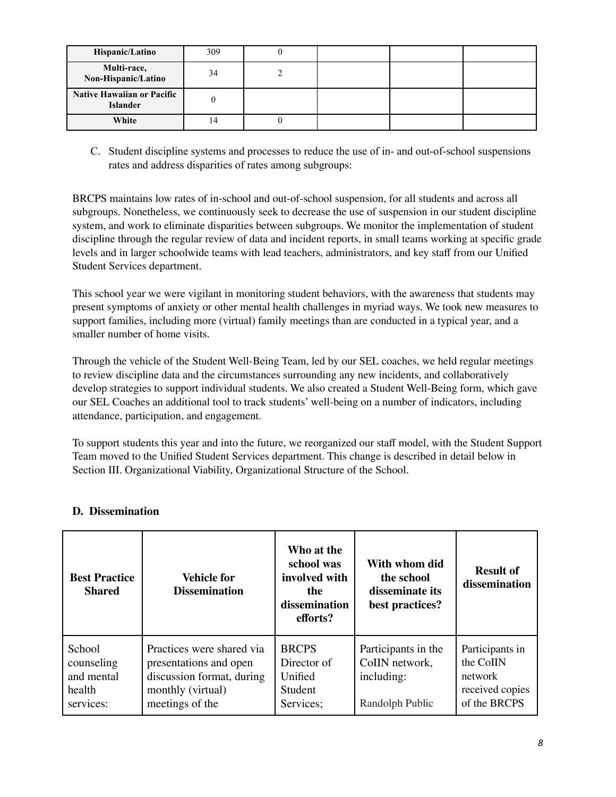| Hispanic/Latino                                      | 309 |  |  |
|------------------------------------------------------|-----|--|--|
| Multi-race,<br>Non-Hispanic/Latino                   | 34  |  |  |
| <b>Native Hawaiian or Pacific</b><br><b>Islander</b> |     |  |  |
| White                                                |     |  |  |

C. Student discipline systems and processes to reduce the use of in- and out-of-school suspensions rates and address disparities of rates among subgroups:

BRCPS maintains low rates of in-school and out-of-school suspension, for all students and across all subgroups. Nonetheless, we continuously seek to decrease the use of suspension in our student discipline system, and work to eliminate disparities between subgroups. We monitor the implementation of student discipline through the regular review of data and incident reports, in small teams working at specific grade levels and in larger schoolwide teams with lead teachers, administrators, and key staff from our Unified Student Services department.

This school year we were vigilant in monitoring student behaviors, with the awareness that students may present symptoms of anxiety or other mental health challenges in myriad ways. We took new measures to support families, including more (virtual) family meetings than are conducted in a typical year, and a smaller number of home visits.

Through the vehicle of the Student Well-Being Team, led by our SEL coaches, we held regular meetings to review discipline data and the circumstances surrounding any new incidents, and collaboratively develop strategies to support individual students. We also created a Student Well-Being form, which gave our SEL Coaches an additional tool to track students' well-being on a number of indicators, including attendance, participation, and engagement.

To support students this year and into the future, we reorganized our staff model, with the Student Support Team moved to the Unified Student Services department. This change is described in detail below in Section III. Organizational Viability, Organizational Structure of the School.

| <b>Best Practice</b><br><b>Shared</b>                     | <b>Vehicle for</b><br><b>Dissemination</b>                                                                               | Who at the<br>school was<br>involved with<br>the<br>dissemination<br>efforts? | With whom did<br>the school<br>disseminate its<br>best practices?      | <b>Result of</b><br>dissemination                                          |
|-----------------------------------------------------------|--------------------------------------------------------------------------------------------------------------------------|-------------------------------------------------------------------------------|------------------------------------------------------------------------|----------------------------------------------------------------------------|
| School<br>counseling<br>and mental<br>health<br>services: | Practices were shared via<br>presentations and open<br>discussion format, during<br>monthly (virtual)<br>meetings of the | <b>BRCPS</b><br>Director of<br>Unified<br><b>Student</b><br>Services;         | Participants in the<br>CoIIN network,<br>including:<br>Randolph Public | Participants in<br>the CoIIN<br>network<br>received copies<br>of the BRCPS |

## **D. Dissemination**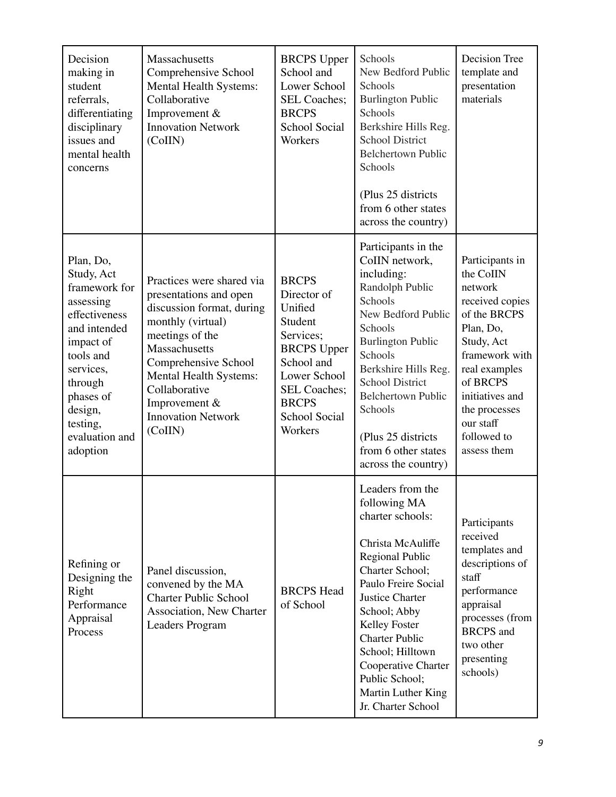| Decision<br>making in<br>student<br>referrals,<br>differentiating<br>disciplinary<br>issues and<br>mental health<br>concerns                                                                               | Massachusetts<br>Comprehensive School<br>Mental Health Systems:<br>Collaborative<br>Improvement $&$<br><b>Innovation Network</b><br>(CoIIN)                                                                                                                           | <b>BRCPS</b> Upper<br>School and<br>Lower School<br><b>SEL Coaches:</b><br><b>BRCPS</b><br><b>School Social</b><br>Workers                                                                   | Schools<br>New Bedford Public<br>Schools<br><b>Burlington Public</b><br>Schools<br>Berkshire Hills Reg.<br><b>School District</b><br><b>Belchertown Public</b><br>Schools<br>(Plus 25 districts)<br>from 6 other states<br>across the country)                                                                                             | Decision Tree<br>template and<br>presentation<br>materials                                                                                                                                                                          |
|------------------------------------------------------------------------------------------------------------------------------------------------------------------------------------------------------------|-----------------------------------------------------------------------------------------------------------------------------------------------------------------------------------------------------------------------------------------------------------------------|----------------------------------------------------------------------------------------------------------------------------------------------------------------------------------------------|--------------------------------------------------------------------------------------------------------------------------------------------------------------------------------------------------------------------------------------------------------------------------------------------------------------------------------------------|-------------------------------------------------------------------------------------------------------------------------------------------------------------------------------------------------------------------------------------|
| Plan, Do,<br>Study, Act<br>framework for<br>assessing<br>effectiveness<br>and intended<br>impact of<br>tools and<br>services,<br>through<br>phases of<br>design,<br>testing,<br>evaluation and<br>adoption | Practices were shared via<br>presentations and open<br>discussion format, during<br>monthly (virtual)<br>meetings of the<br>Massachusetts<br>Comprehensive School<br>Mental Health Systems:<br>Collaborative<br>Improvement &<br><b>Innovation Network</b><br>(CoIIN) | <b>BRCPS</b><br>Director of<br>Unified<br>Student<br>Services;<br><b>BRCPS</b> Upper<br>School and<br>Lower School<br><b>SEL Coaches;</b><br><b>BRCPS</b><br><b>School Social</b><br>Workers | Participants in the<br>CoIIN network,<br>including:<br>Randolph Public<br>Schools<br>New Bedford Public<br>Schools<br><b>Burlington Public</b><br>Schools<br>Berkshire Hills Reg.<br><b>School District</b><br><b>Belchertown Public</b><br>Schools<br>(Plus 25 districts<br>from 6 other states<br>across the country)                    | Participants in<br>the CoIIN<br>network<br>received copies<br>of the BRCPS<br>Plan, Do,<br>Study, Act<br>framework with<br>real examples<br>of BRCPS<br>initiatives and<br>the processes<br>our staff<br>followed to<br>assess them |
| Refining or<br>Designing the<br>Right<br>Performance<br>Appraisal<br>Process                                                                                                                               | Panel discussion,<br>convened by the MA<br><b>Charter Public School</b><br>Association, New Charter<br><b>Leaders Program</b>                                                                                                                                         | <b>BRCPS</b> Head<br>of School                                                                                                                                                               | Leaders from the<br>following MA<br>charter schools:<br>Christa McAuliffe<br><b>Regional Public</b><br>Charter School;<br>Paulo Freire Social<br><b>Justice Charter</b><br>School; Abby<br>Kelley Foster<br><b>Charter Public</b><br>School; Hilltown<br>Cooperative Charter<br>Public School;<br>Martin Luther King<br>Jr. Charter School | Participants<br>received<br>templates and<br>descriptions of<br>staff<br>performance<br>appraisal<br>processes (from<br><b>BRCPS</b> and<br>two other<br>presenting<br>schools)                                                     |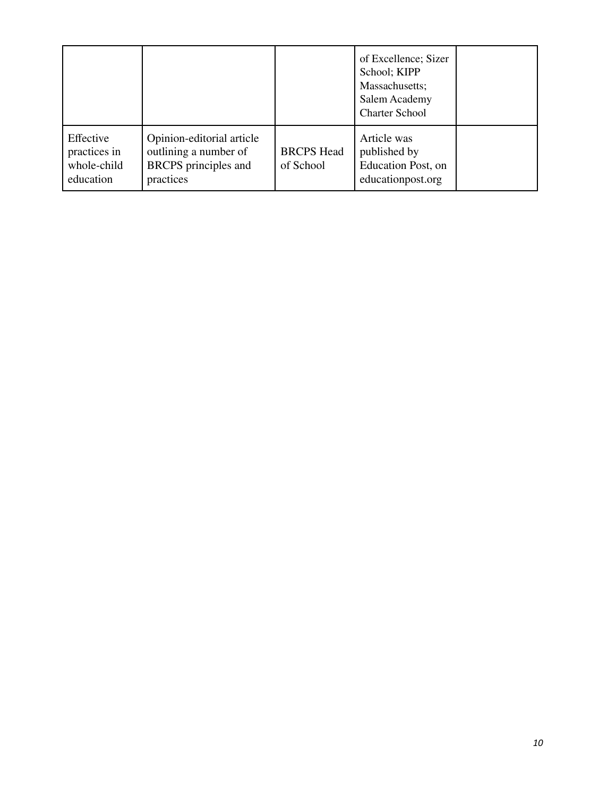|                                                       |                                                                                         |                                | of Excellence; Sizer<br>School; KIPP<br>Massachusetts;<br>Salem Academy<br><b>Charter School</b> |  |
|-------------------------------------------------------|-----------------------------------------------------------------------------------------|--------------------------------|--------------------------------------------------------------------------------------------------|--|
| Effective<br>practices in<br>whole-child<br>education | Opinion-editorial article<br>outlining a number of<br>BRCPS principles and<br>practices | <b>BRCPS</b> Head<br>of School | Article was<br>published by<br>Education Post, on<br>educationpost.org                           |  |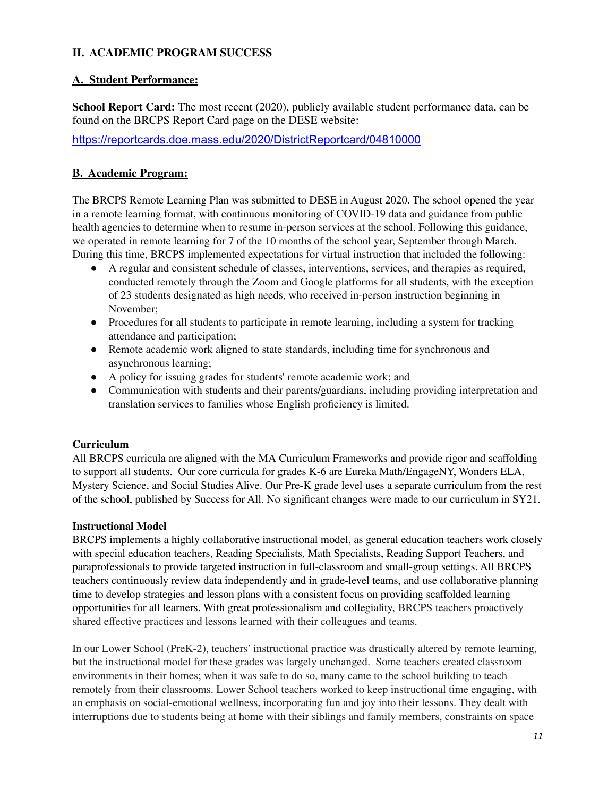## **II. ACADEMIC PROGRAM SUCCESS**

## **A. Student Performance:**

**School Report Card:** The most recent (2020), publicly available student performance data, can be found on the BRCPS Report Card page on the DESE website:

<https://reportcards.doe.mass.edu/2020/DistrictReportcard/04810000>

## **B. Academic Program:**

The BRCPS Remote Learning Plan was submitted to DESE in August 2020. The school opened the year in a remote learning format, with continuous monitoring of COVID-19 data and guidance from public health agencies to determine when to resume in-person services at the school. Following this guidance, we operated in remote learning for 7 of the 10 months of the school year, September through March. During this time, BRCPS implemented expectations for virtual instruction that included the following:

- A regular and consistent schedule of classes, interventions, services, and therapies as required, conducted remotely through the Zoom and Google platforms for all students, with the exception of 23 students designated as high needs, who received in-person instruction beginning in November;
- Procedures for all students to participate in remote learning, including a system for tracking attendance and participation;
- Remote academic work aligned to state standards, including time for synchronous and asynchronous learning;
- A policy for issuing grades for students' remote academic work; and
- Communication with students and their parents/guardians, including providing interpretation and translation services to families whose English proficiency is limited.

## **Curriculum**

All BRCPS curricula are aligned with the MA Curriculum Frameworks and provide rigor and scaffolding to support all students. Our core curricula for grades K-6 are Eureka Math/EngageNY, Wonders ELA, Mystery Science, and Social Studies Alive. Our Pre-K grade level uses a separate curriculum from the rest of the school, published by Success for All. No significant changes were made to our curriculum in SY21.

#### **Instructional Model**

BRCPS implements a highly collaborative instructional model, as general education teachers work closely with special education teachers, Reading Specialists, Math Specialists, Reading Support Teachers, and paraprofessionals to provide targeted instruction in full-classroom and small-group settings. All BRCPS teachers continuously review data independently and in grade-level teams, and use collaborative planning time to develop strategies and lesson plans with a consistent focus on providing scaffolded learning opportunities for all learners. With great professionalism and collegiality, BRCPS teachers proactively shared effective practices and lessons learned with their colleagues and teams.

In our Lower School (PreK-2), teachers' instructional practice was drastically altered by remote learning, but the instructional model for these grades was largely unchanged. Some teachers created classroom environments in their homes; when it was safe to do so, many came to the school building to teach remotely from their classrooms. Lower School teachers worked to keep instructional time engaging, with an emphasis on social-emotional wellness, incorporating fun and joy into their lessons. They dealt with interruptions due to students being at home with their siblings and family members, constraints on space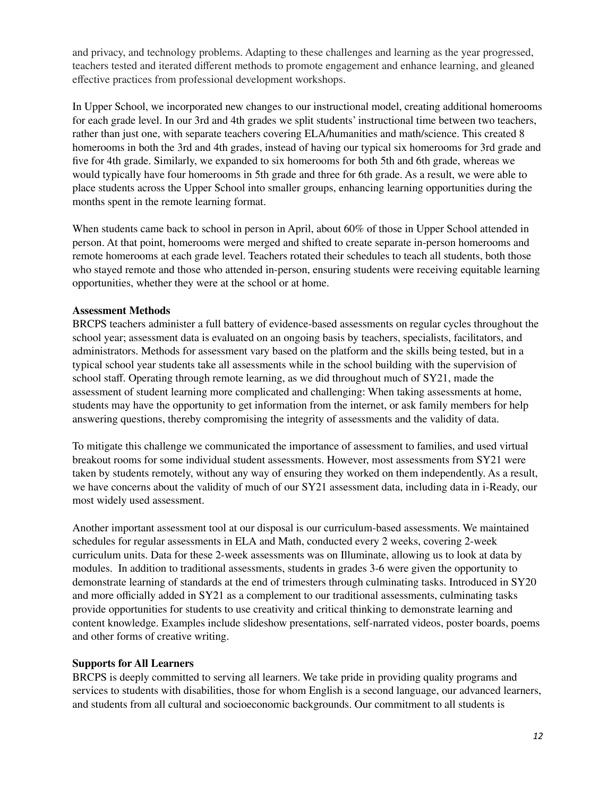and privacy, and technology problems. Adapting to these challenges and learning as the year progressed, teachers tested and iterated different methods to promote engagement and enhance learning, and gleaned effective practices from professional development workshops.

In Upper School, we incorporated new changes to our instructional model, creating additional homerooms for each grade level. In our 3rd and 4th grades we split students' instructional time between two teachers, rather than just one, with separate teachers covering ELA/humanities and math/science. This created 8 homerooms in both the 3rd and 4th grades, instead of having our typical six homerooms for 3rd grade and five for 4th grade. Similarly, we expanded to six homerooms for both 5th and 6th grade, whereas we would typically have four homerooms in 5th grade and three for 6th grade. As a result, we were able to place students across the Upper School into smaller groups, enhancing learning opportunities during the months spent in the remote learning format.

When students came back to school in person in April, about 60% of those in Upper School attended in person. At that point, homerooms were merged and shifted to create separate in-person homerooms and remote homerooms at each grade level. Teachers rotated their schedules to teach all students, both those who stayed remote and those who attended in-person, ensuring students were receiving equitable learning opportunities, whether they were at the school or at home.

#### **Assessment Methods**

BRCPS teachers administer a full battery of evidence-based assessments on regular cycles throughout the school year; assessment data is evaluated on an ongoing basis by teachers, specialists, facilitators, and administrators. Methods for assessment vary based on the platform and the skills being tested, but in a typical school year students take all assessments while in the school building with the supervision of school staff. Operating through remote learning, as we did throughout much of SY21, made the assessment of student learning more complicated and challenging: When taking assessments at home, students may have the opportunity to get information from the internet, or ask family members for help answering questions, thereby compromising the integrity of assessments and the validity of data.

To mitigate this challenge we communicated the importance of assessment to families, and used virtual breakout rooms for some individual student assessments. However, most assessments from SY21 were taken by students remotely, without any way of ensuring they worked on them independently. As a result, we have concerns about the validity of much of our SY21 assessment data, including data in i-Ready, our most widely used assessment.

Another important assessment tool at our disposal is our curriculum-based assessments. We maintained schedules for regular assessments in ELA and Math, conducted every 2 weeks, covering 2-week curriculum units. Data for these 2-week assessments was on Illuminate, allowing us to look at data by modules. In addition to traditional assessments, students in grades 3-6 were given the opportunity to demonstrate learning of standards at the end of trimesters through culminating tasks. Introduced in SY20 and more officially added in SY21 as a complement to our traditional assessments, culminating tasks provide opportunities for students to use creativity and critical thinking to demonstrate learning and content knowledge. Examples include slideshow presentations, self-narrated videos, poster boards, poems and other forms of creative writing.

#### **Supports for All Learners**

BRCPS is deeply committed to serving all learners. We take pride in providing quality programs and services to students with disabilities, those for whom English is a second language, our advanced learners, and students from all cultural and socioeconomic backgrounds. Our commitment to all students is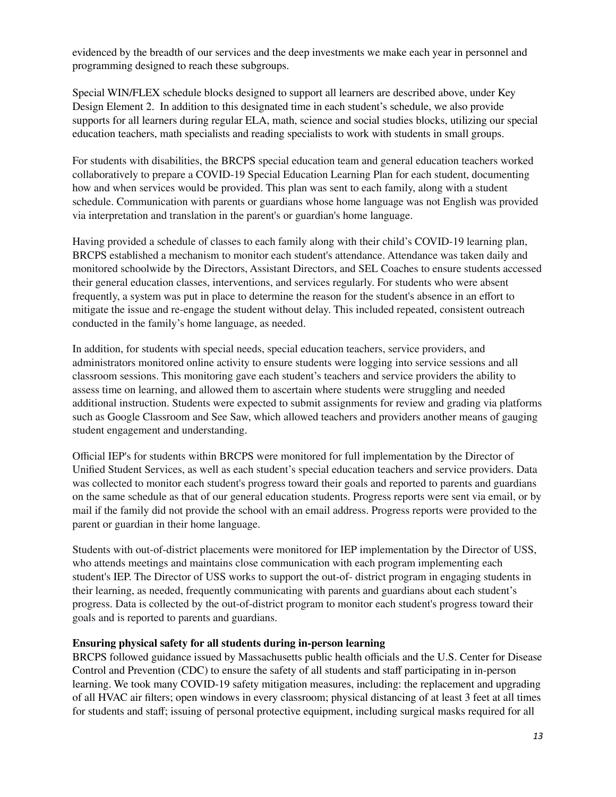evidenced by the breadth of our services and the deep investments we make each year in personnel and programming designed to reach these subgroups.

Special WIN/FLEX schedule blocks designed to support all learners are described above, under Key Design Element 2. In addition to this designated time in each student's schedule, we also provide supports for all learners during regular ELA, math, science and social studies blocks, utilizing our special education teachers, math specialists and reading specialists to work with students in small groups.

For students with disabilities, the BRCPS special education team and general education teachers worked collaboratively to prepare a COVID-19 Special Education Learning Plan for each student, documenting how and when services would be provided. This plan was sent to each family, along with a student schedule. Communication with parents or guardians whose home language was not English was provided via interpretation and translation in the parent's or guardian's home language.

Having provided a schedule of classes to each family along with their child's COVID-19 learning plan, BRCPS established a mechanism to monitor each student's attendance. Attendance was taken daily and monitored schoolwide by the Directors, Assistant Directors, and SEL Coaches to ensure students accessed their general education classes, interventions, and services regularly. For students who were absent frequently, a system was put in place to determine the reason for the student's absence in an effort to mitigate the issue and re-engage the student without delay. This included repeated, consistent outreach conducted in the family's home language, as needed.

In addition, for students with special needs, special education teachers, service providers, and administrators monitored online activity to ensure students were logging into service sessions and all classroom sessions. This monitoring gave each student's teachers and service providers the ability to assess time on learning, and allowed them to ascertain where students were struggling and needed additional instruction. Students were expected to submit assignments for review and grading via platforms such as Google Classroom and See Saw, which allowed teachers and providers another means of gauging student engagement and understanding.

Official IEP's for students within BRCPS were monitored for full implementation by the Director of Unified Student Services, as well as each student's special education teachers and service providers. Data was collected to monitor each student's progress toward their goals and reported to parents and guardians on the same schedule as that of our general education students. Progress reports were sent via email, or by mail if the family did not provide the school with an email address. Progress reports were provided to the parent or guardian in their home language.

Students with out-of-district placements were monitored for IEP implementation by the Director of USS, who attends meetings and maintains close communication with each program implementing each student's IEP. The Director of USS works to support the out-of- district program in engaging students in their learning, as needed, frequently communicating with parents and guardians about each student's progress. Data is collected by the out-of-district program to monitor each student's progress toward their goals and is reported to parents and guardians.

#### **Ensuring physical safety for all students during in-person learning**

BRCPS followed guidance issued by Massachusetts public health officials and the U.S. Center for Disease Control and Prevention (CDC) to ensure the safety of all students and staff participating in in-person learning. We took many COVID-19 safety mitigation measures, including: the replacement and upgrading of all HVAC air filters; open windows in every classroom; physical distancing of at least 3 feet at all times for students and staff; issuing of personal protective equipment, including surgical masks required for all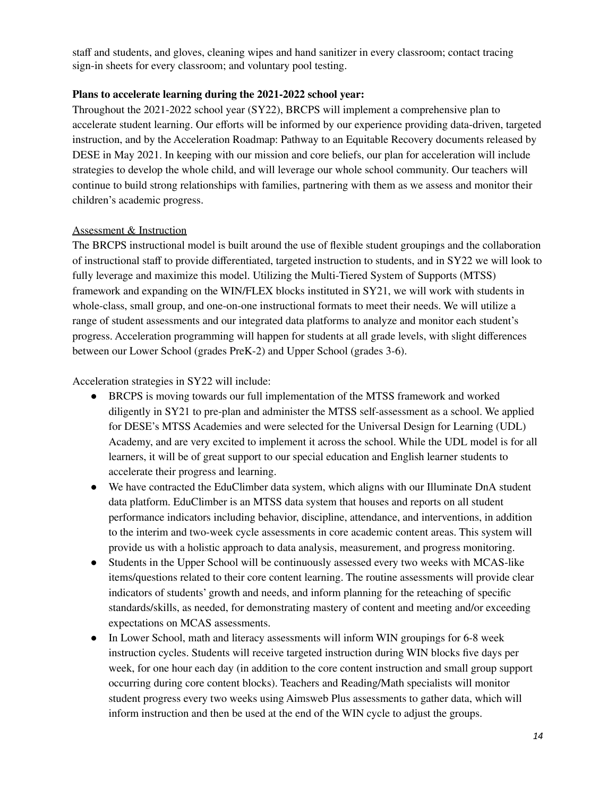staff and students, and gloves, cleaning wipes and hand sanitizer in every classroom; contact tracing sign-in sheets for every classroom; and voluntary pool testing.

#### **Plans to accelerate learning during the 2021-2022 school year:**

Throughout the 2021-2022 school year (SY22), BRCPS will implement a comprehensive plan to accelerate student learning. Our efforts will be informed by our experience providing data-driven, targeted instruction, and by the Acceleration Roadmap: Pathway to an Equitable Recovery documents released by DESE in May 2021. In keeping with our mission and core beliefs, our plan for acceleration will include strategies to develop the whole child, and will leverage our whole school community. Our teachers will continue to build strong relationships with families, partnering with them as we assess and monitor their children's academic progress.

#### Assessment & Instruction

The BRCPS instructional model is built around the use of flexible student groupings and the collaboration of instructional staff to provide differentiated, targeted instruction to students, and in SY22 we will look to fully leverage and maximize this model. Utilizing the Multi-Tiered System of Supports (MTSS) framework and expanding on the WIN/FLEX blocks instituted in SY21, we will work with students in whole-class, small group, and one-on-one instructional formats to meet their needs. We will utilize a range of student assessments and our integrated data platforms to analyze and monitor each student's progress. Acceleration programming will happen for students at all grade levels, with slight differences between our Lower School (grades PreK-2) and Upper School (grades 3-6).

Acceleration strategies in SY22 will include:

- BRCPS is moving towards our full implementation of the MTSS framework and worked diligently in SY21 to pre-plan and administer the MTSS self-assessment as a school. We applied for DESE's MTSS Academies and were selected for the Universal Design for Learning (UDL) Academy, and are very excited to implement it across the school. While the UDL model is for all learners, it will be of great support to our special education and English learner students to accelerate their progress and learning.
- We have contracted the EduClimber data system, which aligns with our Illuminate DnA student data platform. EduClimber is an MTSS data system that houses and reports on all student performance indicators including behavior, discipline, attendance, and interventions, in addition to the interim and two-week cycle assessments in core academic content areas. This system will provide us with a holistic approach to data analysis, measurement, and progress monitoring.
- Students in the Upper School will be continuously assessed every two weeks with MCAS-like items/questions related to their core content learning. The routine assessments will provide clear indicators of students' growth and needs, and inform planning for the reteaching of specific standards/skills, as needed, for demonstrating mastery of content and meeting and/or exceeding expectations on MCAS assessments.
- In Lower School, math and literacy assessments will inform WIN groupings for 6-8 week instruction cycles. Students will receive targeted instruction during WIN blocks five days per week, for one hour each day (in addition to the core content instruction and small group support occurring during core content blocks). Teachers and Reading/Math specialists will monitor student progress every two weeks using Aimsweb Plus assessments to gather data, which will inform instruction and then be used at the end of the WIN cycle to adjust the groups.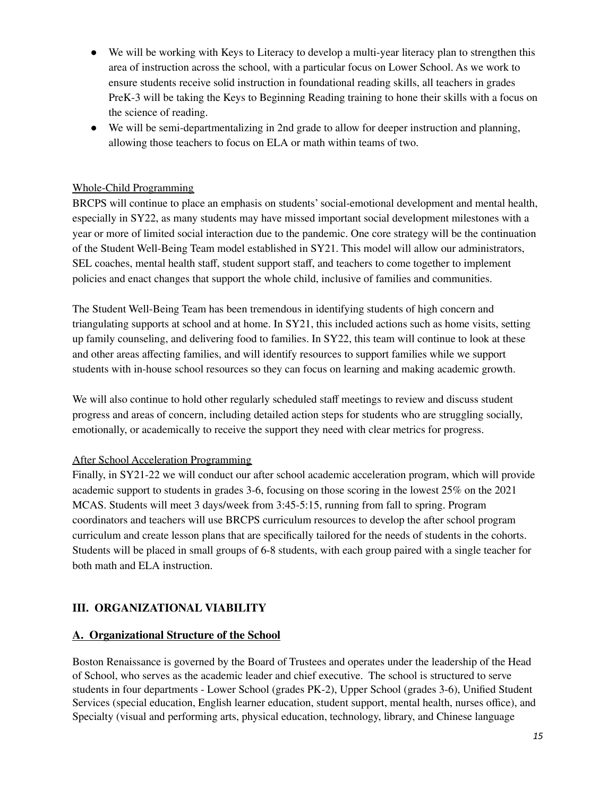- We will be working with Keys to Literacy to develop a multi-year literacy plan to strengthen this area of instruction across the school, with a particular focus on Lower School. As we work to ensure students receive solid instruction in foundational reading skills, all teachers in grades PreK-3 will be taking the Keys to Beginning Reading training to hone their skills with a focus on the science of reading.
- We will be semi-departmentalizing in 2nd grade to allow for deeper instruction and planning, allowing those teachers to focus on ELA or math within teams of two.

## Whole-Child Programming

BRCPS will continue to place an emphasis on students'social-emotional development and mental health, especially in SY22, as many students may have missed important social development milestones with a year or more of limited social interaction due to the pandemic. One core strategy will be the continuation of the Student Well-Being Team model established in SY21. This model will allow our administrators, SEL coaches, mental health staff, student support staff, and teachers to come together to implement policies and enact changes that support the whole child, inclusive of families and communities.

The Student Well-Being Team has been tremendous in identifying students of high concern and triangulating supports at school and at home. In SY21, this included actions such as home visits, setting up family counseling, and delivering food to families. In SY22, this team will continue to look at these and other areas affecting families, and will identify resources to support families while we support students with in-house school resources so they can focus on learning and making academic growth.

We will also continue to hold other regularly scheduled staff meetings to review and discuss student progress and areas of concern, including detailed action steps for students who are struggling socially, emotionally, or academically to receive the support they need with clear metrics for progress.

## After School Acceleration Programming

Finally, in SY21-22 we will conduct our after school academic acceleration program, which will provide academic support to students in grades 3-6, focusing on those scoring in the lowest 25% on the 2021 MCAS. Students will meet 3 days/week from 3:45-5:15, running from fall to spring. Program coordinators and teachers will use BRCPS curriculum resources to develop the after school program curriculum and create lesson plans that are specifically tailored for the needs of students in the cohorts. Students will be placed in small groups of 6-8 students, with each group paired with a single teacher for both math and ELA instruction.

## **III. ORGANIZATIONAL VIABILITY**

#### **A. Organizational Structure of the School**

Boston Renaissance is governed by the Board of Trustees and operates under the leadership of the Head of School, who serves as the academic leader and chief executive. The school is structured to serve students in four departments - Lower School (grades PK-2), Upper School (grades 3-6), Unified Student Services (special education, English learner education, student support, mental health, nurses office), and Specialty (visual and performing arts, physical education, technology, library, and Chinese language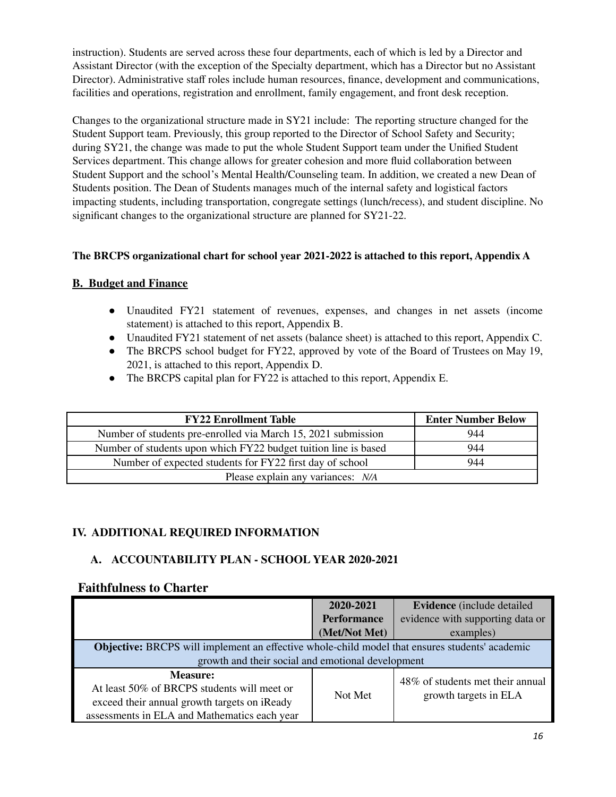instruction). Students are served across these four departments, each of which is led by a Director and Assistant Director (with the exception of the Specialty department, which has a Director but no Assistant Director). Administrative staff roles include human resources, finance, development and communications, facilities and operations, registration and enrollment, family engagement, and front desk reception.

Changes to the organizational structure made in SY21 include: The reporting structure changed for the Student Support team. Previously, this group reported to the Director of School Safety and Security; during SY21, the change was made to put the whole Student Support team under the Unified Student Services department. This change allows for greater cohesion and more fluid collaboration between Student Support and the school's Mental Health/Counseling team. In addition, we created a new Dean of Students position. The Dean of Students manages much of the internal safety and logistical factors impacting students, including transportation, congregate settings (lunch/recess), and student discipline. No significant changes to the organizational structure are planned for SY21-22.

#### **The BRCPS organizational chart for school year 2021-2022 is attached to this report, Appendix A**

#### **B. Budget and Finance**

- **●** Unaudited FY21 statement of revenues, expenses, and changes in net assets (income statement) is attached to this report, Appendix B.
- **●** Unaudited FY21 statement of net assets (balance sheet) is attached to this report, Appendix C.
- The BRCPS school budget for FY22, approved by vote of the Board of Trustees on May 19, 2021, is attached to this report, Appendix D.
- The BRCPS capital plan for FY22 is attached to this report, Appendix E.

| <b>FY22 Enrollment Table</b>                                    | <b>Enter Number Below</b> |
|-----------------------------------------------------------------|---------------------------|
| Number of students pre-enrolled via March 15, 2021 submission   | 944                       |
| Number of students upon which FY22 budget tuition line is based | 944                       |
| Number of expected students for FY22 first day of school        | 944                       |
| Please explain any variances: N/A                               |                           |

## **IV. ADDITIONAL REQUIRED INFORMATION**

## **A. ACCOUNTABILITY PLAN - SCHOOL YEAR 2020-2021**

#### **Faithfulness to Charter**

|                                                                                                                                                                | 2020-2021          | Evidence (include detailed                                |  |
|----------------------------------------------------------------------------------------------------------------------------------------------------------------|--------------------|-----------------------------------------------------------|--|
|                                                                                                                                                                | <b>Performance</b> | evidence with supporting data or                          |  |
|                                                                                                                                                                | (Met/Not Met)      | examples)                                                 |  |
| <b>Objective:</b> BRCPS will implement an effective whole-child model that ensures students' academic                                                          |                    |                                                           |  |
| growth and their social and emotional development                                                                                                              |                    |                                                           |  |
| <b>Measure:</b><br>At least 50% of BRCPS students will meet or<br>exceed their annual growth targets on iReady<br>assessments in ELA and Mathematics each year | Not Met            | 48% of students met their annual<br>growth targets in ELA |  |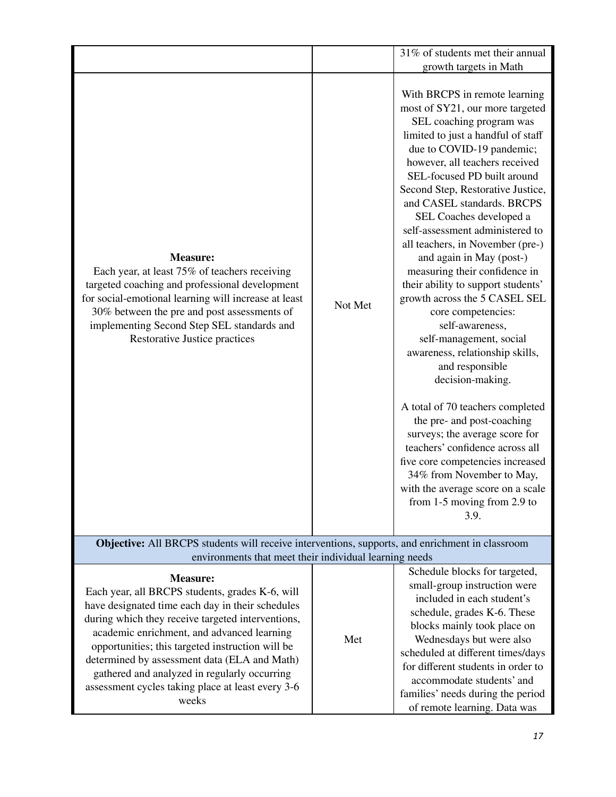|                                                                                                                                                                                                                                                                                                                 |         | 31% of students met their annual                                                                                                                                                                                                                                                                                                                                                                                                                                                                                                                                                                                                                                                                                                                                                                                                                                                                                                                                                |  |
|-----------------------------------------------------------------------------------------------------------------------------------------------------------------------------------------------------------------------------------------------------------------------------------------------------------------|---------|---------------------------------------------------------------------------------------------------------------------------------------------------------------------------------------------------------------------------------------------------------------------------------------------------------------------------------------------------------------------------------------------------------------------------------------------------------------------------------------------------------------------------------------------------------------------------------------------------------------------------------------------------------------------------------------------------------------------------------------------------------------------------------------------------------------------------------------------------------------------------------------------------------------------------------------------------------------------------------|--|
|                                                                                                                                                                                                                                                                                                                 |         | growth targets in Math                                                                                                                                                                                                                                                                                                                                                                                                                                                                                                                                                                                                                                                                                                                                                                                                                                                                                                                                                          |  |
| <b>Measure:</b><br>Each year, at least 75% of teachers receiving<br>targeted coaching and professional development<br>for social-emotional learning will increase at least<br>30% between the pre and post assessments of<br>implementing Second Step SEL standards and<br><b>Restorative Justice practices</b> | Not Met | With BRCPS in remote learning<br>most of SY21, our more targeted<br>SEL coaching program was<br>limited to just a handful of staff<br>due to COVID-19 pandemic;<br>however, all teachers received<br>SEL-focused PD built around<br>Second Step, Restorative Justice,<br>and CASEL standards. BRCPS<br>SEL Coaches developed a<br>self-assessment administered to<br>all teachers, in November (pre-)<br>and again in May (post-)<br>measuring their confidence in<br>their ability to support students'<br>growth across the 5 CASEL SEL<br>core competencies:<br>self-awareness,<br>self-management, social<br>awareness, relationship skills,<br>and responsible<br>decision-making.<br>A total of 70 teachers completed<br>the pre- and post-coaching<br>surveys; the average score for<br>teachers' confidence across all<br>five core competencies increased<br>34% from November to May,<br>with the average score on a scale<br>from $1-5$ moving from $2.9$ to<br>3.9. |  |
| Objective: All BRCPS students will receive interventions, supports, and enrichment in classroom<br>environments that meet their individual learning needs                                                                                                                                                       |         |                                                                                                                                                                                                                                                                                                                                                                                                                                                                                                                                                                                                                                                                                                                                                                                                                                                                                                                                                                                 |  |
| Schedule blocks for targeted                                                                                                                                                                                                                                                                                    |         |                                                                                                                                                                                                                                                                                                                                                                                                                                                                                                                                                                                                                                                                                                                                                                                                                                                                                                                                                                                 |  |

| <b>Measure:</b><br>Each year, all BRCPS students, grades K-6, will<br>have designated time each day in their schedules<br>during which they receive targeted interventions,<br>academic enrichment, and advanced learning<br>opportunities; this targeted instruction will be<br>determined by assessment data (ELA and Math)<br>gathered and analyzed in regularly occurring<br>assessment cycles taking place at least every 3-6<br>weeks | Met | Schedule blocks for targeted,<br>small-group instruction were<br>included in each student's<br>schedule, grades K-6. These<br>blocks mainly took place on<br>Wednesdays but were also<br>scheduled at different times/days<br>for different students in order to<br>accommodate students' and<br>families' needs during the period<br>of remote learning. Data was |
|---------------------------------------------------------------------------------------------------------------------------------------------------------------------------------------------------------------------------------------------------------------------------------------------------------------------------------------------------------------------------------------------------------------------------------------------|-----|--------------------------------------------------------------------------------------------------------------------------------------------------------------------------------------------------------------------------------------------------------------------------------------------------------------------------------------------------------------------|
|---------------------------------------------------------------------------------------------------------------------------------------------------------------------------------------------------------------------------------------------------------------------------------------------------------------------------------------------------------------------------------------------------------------------------------------------|-----|--------------------------------------------------------------------------------------------------------------------------------------------------------------------------------------------------------------------------------------------------------------------------------------------------------------------------------------------------------------------|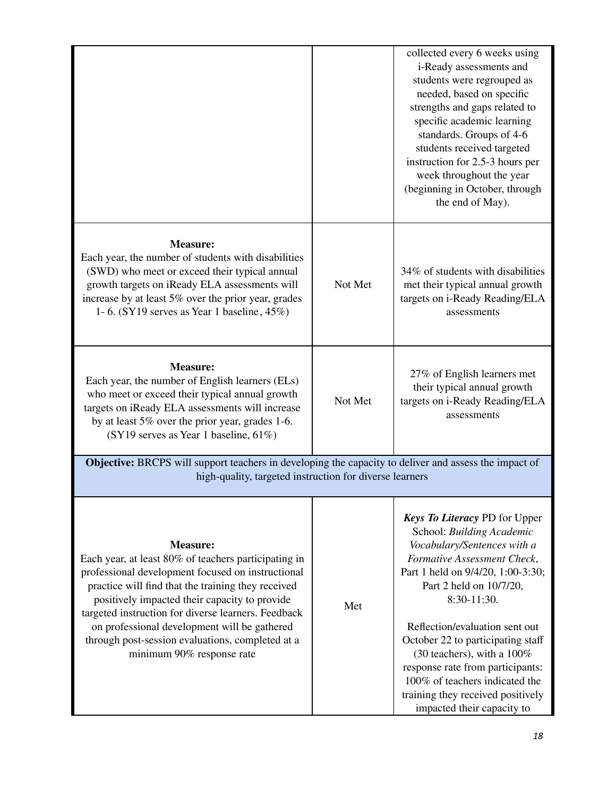|                                                                                                                                                                                                                                                                                            |         | collected every 6 weeks using<br>i-Ready assessments and<br>students were regrouped as<br>needed, based on specific<br>strengths and gaps related to<br>specific academic learning<br>standards. Groups of 4-6<br>students received targeted<br>instruction for 2.5-3 hours per<br>week throughout the year<br>(beginning in October, through<br>the end of May). |
|--------------------------------------------------------------------------------------------------------------------------------------------------------------------------------------------------------------------------------------------------------------------------------------------|---------|-------------------------------------------------------------------------------------------------------------------------------------------------------------------------------------------------------------------------------------------------------------------------------------------------------------------------------------------------------------------|
| <b>Measure:</b><br>Each year, the number of students with disabilities<br>(SWD) who meet or exceed their typical annual<br>growth targets on iReady ELA assessments will<br>increase by at least 5% over the prior year, grades<br>1-6. (SY19 serves as Year 1 baseline, $45\%$ )          | Not Met | 34% of students with disabilities<br>met their typical annual growth<br>targets on i-Ready Reading/ELA<br>assessments                                                                                                                                                                                                                                             |
| <b>Measure:</b><br>Each year, the number of English learners (ELs)<br>who meet or exceed their typical annual growth<br>targets on iReady ELA assessments will increase<br>by at least 5% over the prior year, grades 1-6.<br>(SY19 serves as Year 1 baseline, 61%)                        | Not Met | 27% of English learners met<br>their typical annual growth<br>targets on i-Ready Reading/ELA<br>assessments                                                                                                                                                                                                                                                       |
| Objective: BRCPS will support teachers in developing the capacity to deliver and assess the impact of<br>high-quality, targeted instruction for diverse learners                                                                                                                           |         |                                                                                                                                                                                                                                                                                                                                                                   |
| <b>Measure:</b><br>Each year, at least 80% of teachers participating in<br>professional development focused on instructional<br>practice will find that the training they received<br>positively impacted their capacity to provide<br>targeted instruction for diverse learners. Feedback | Met     | <b>Keys To Literacy PD for Upper</b><br>School: Building Academic<br>Vocabulary/Sentences with a<br>Formative Assessment Check,<br>Part 1 held on 9/4/20, 1:00-3:30;<br>Part 2 held on 10/7/20,<br>8:30-11:30.                                                                                                                                                    |

on professional development will be gathered through post-session evaluations, completed at a minimum 90% response rate

Reflection/evaluation sent out October 22 to participating staff (30 teachers), with a 100% response rate from participants: 100% of teachers indicated the training they received positively impacted their capacity to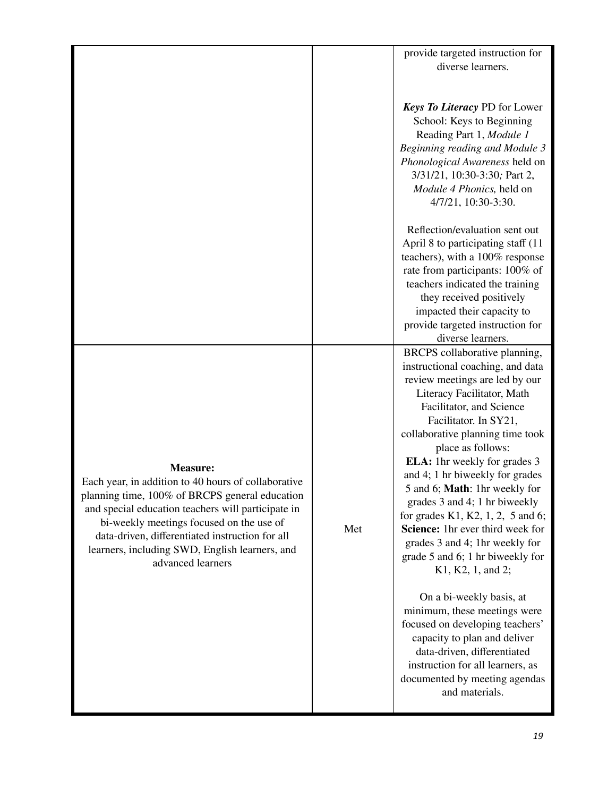|                                                                                                                                                                                                                                                                                                                                                      |     | provide targeted instruction for<br>diverse learners.                                                                                                                                                                                                                                                                                                                                                                                                                                                                                                                                                                                                                                                                                                                                                                  |
|------------------------------------------------------------------------------------------------------------------------------------------------------------------------------------------------------------------------------------------------------------------------------------------------------------------------------------------------------|-----|------------------------------------------------------------------------------------------------------------------------------------------------------------------------------------------------------------------------------------------------------------------------------------------------------------------------------------------------------------------------------------------------------------------------------------------------------------------------------------------------------------------------------------------------------------------------------------------------------------------------------------------------------------------------------------------------------------------------------------------------------------------------------------------------------------------------|
|                                                                                                                                                                                                                                                                                                                                                      |     | <b>Keys To Literacy PD for Lower</b><br>School: Keys to Beginning<br>Reading Part 1, Module 1<br>Beginning reading and Module 3<br>Phonological Awareness held on<br>3/31/21, 10:30-3:30; Part 2,<br>Module 4 Phonics, held on<br>4/7/21, 10:30-3:30.                                                                                                                                                                                                                                                                                                                                                                                                                                                                                                                                                                  |
|                                                                                                                                                                                                                                                                                                                                                      |     | Reflection/evaluation sent out<br>April 8 to participating staff (11<br>teachers), with a 100% response<br>rate from participants: 100% of<br>teachers indicated the training<br>they received positively<br>impacted their capacity to<br>provide targeted instruction for<br>diverse learners.                                                                                                                                                                                                                                                                                                                                                                                                                                                                                                                       |
| <b>Measure:</b><br>Each year, in addition to 40 hours of collaborative<br>planning time, 100% of BRCPS general education<br>and special education teachers will participate in<br>bi-weekly meetings focused on the use of<br>data-driven, differentiated instruction for all<br>learners, including SWD, English learners, and<br>advanced learners | Met | BRCPS collaborative planning,<br>instructional coaching, and data<br>review meetings are led by our<br>Literacy Facilitator, Math<br>Facilitator, and Science<br>Facilitator. In SY21,<br>collaborative planning time took<br>place as follows:<br><b>ELA:</b> 1hr weekly for grades 3<br>and 4; 1 hr biweekly for grades<br>5 and 6; Math: 1hr weekly for<br>grades 3 and 4; 1 hr biweekly<br>for grades K1, K2, $1, 2, 5$ and 6;<br>Science: 1hr ever third week for<br>grades 3 and 4; 1hr weekly for<br>grade 5 and 6; 1 hr biweekly for<br>K1, K2, 1, and 2;<br>On a bi-weekly basis, at<br>minimum, these meetings were<br>focused on developing teachers'<br>capacity to plan and deliver<br>data-driven, differentiated<br>instruction for all learners, as<br>documented by meeting agendas<br>and materials. |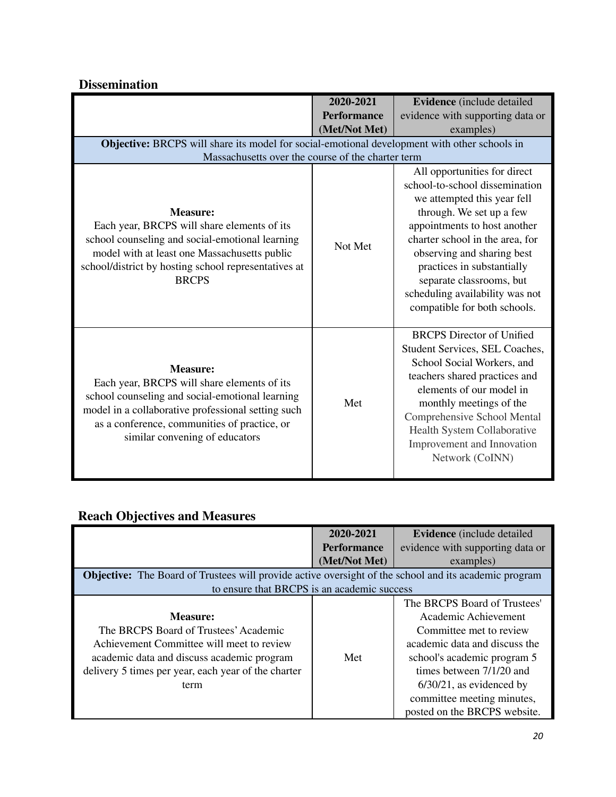|                                                                                                                                                                                                                                                           | 2020-2021          | Evidence (include detailed                                                                                                                                                                                                                                                                                                                              |  |
|-----------------------------------------------------------------------------------------------------------------------------------------------------------------------------------------------------------------------------------------------------------|--------------------|---------------------------------------------------------------------------------------------------------------------------------------------------------------------------------------------------------------------------------------------------------------------------------------------------------------------------------------------------------|--|
|                                                                                                                                                                                                                                                           | <b>Performance</b> | evidence with supporting data or                                                                                                                                                                                                                                                                                                                        |  |
|                                                                                                                                                                                                                                                           | (Met/Not Met)      | examples)                                                                                                                                                                                                                                                                                                                                               |  |
| Objective: BRCPS will share its model for social-emotional development with other schools in                                                                                                                                                              |                    |                                                                                                                                                                                                                                                                                                                                                         |  |
| Massachusetts over the course of the charter term                                                                                                                                                                                                         |                    |                                                                                                                                                                                                                                                                                                                                                         |  |
| <b>Measure:</b><br>Each year, BRCPS will share elements of its<br>school counseling and social-emotional learning<br>model with at least one Massachusetts public<br>school/district by hosting school representatives at<br><b>BRCPS</b>                 | Not Met            | All opportunities for direct<br>school-to-school dissemination<br>we attempted this year fell<br>through. We set up a few<br>appointments to host another<br>charter school in the area, for<br>observing and sharing best<br>practices in substantially<br>separate classrooms, but<br>scheduling availability was not<br>compatible for both schools. |  |
| <b>Measure:</b><br>Each year, BRCPS will share elements of its<br>school counseling and social-emotional learning<br>model in a collaborative professional setting such<br>as a conference, communities of practice, or<br>similar convening of educators | Met                | <b>BRCPS</b> Director of Unified<br>Student Services, SEL Coaches,<br>School Social Workers, and<br>teachers shared practices and<br>elements of our model in<br>monthly meetings of the<br><b>Comprehensive School Mental</b><br>Health System Collaborative<br>Improvement and Innovation<br>Network (CoINN)                                          |  |

# **Dissemination**

# **Reach Objectives and Measures**

|                                                                                                                                                                                                             | 2020-2021          | <b>Evidence</b> (include detailed)                                                                                                                                                                                                                                       |
|-------------------------------------------------------------------------------------------------------------------------------------------------------------------------------------------------------------|--------------------|--------------------------------------------------------------------------------------------------------------------------------------------------------------------------------------------------------------------------------------------------------------------------|
|                                                                                                                                                                                                             | <b>Performance</b> | evidence with supporting data or                                                                                                                                                                                                                                         |
|                                                                                                                                                                                                             | (Met/Not Met)      | examples)                                                                                                                                                                                                                                                                |
| <b>Objective:</b> The Board of Trustees will provide active oversight of the school and its academic program                                                                                                |                    |                                                                                                                                                                                                                                                                          |
| to ensure that BRCPS is an academic success                                                                                                                                                                 |                    |                                                                                                                                                                                                                                                                          |
| Measure:<br>The BRCPS Board of Trustees' Academic<br>Achievement Committee will meet to review<br>academic data and discuss academic program<br>delivery 5 times per year, each year of the charter<br>term | Met                | The BRCPS Board of Trustees'<br>Academic Achievement<br>Committee met to review<br>academic data and discuss the<br>school's academic program 5<br>times between 7/1/20 and<br>$6/30/21$ , as evidenced by<br>committee meeting minutes,<br>posted on the BRCPS website. |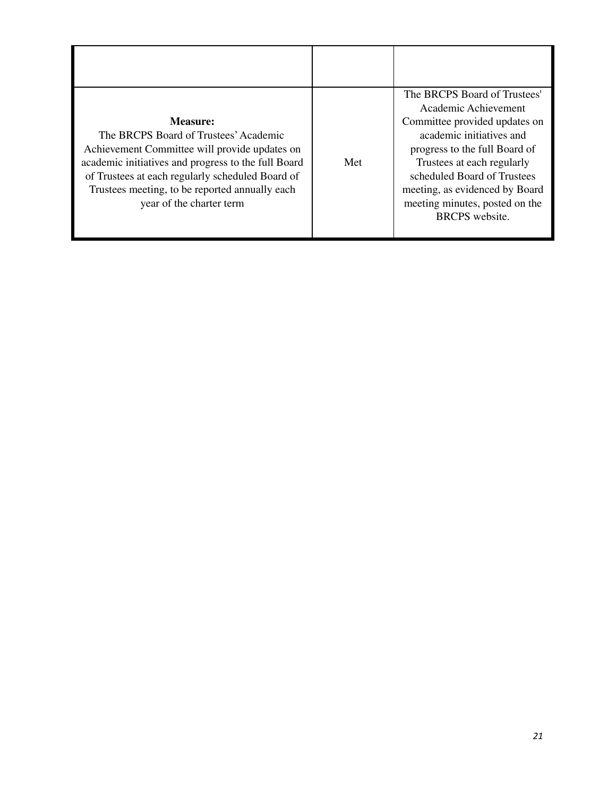| Measure:<br>The BRCPS Board of Trustees' Academic<br>Achievement Committee will provide updates on<br>academic initiatives and progress to the full Board<br>of Trustees at each regularly scheduled Board of<br>Trustees meeting, to be reported annually each<br>year of the charter term | Met | The BRCPS Board of Trustees'<br>Academic Achievement<br>Committee provided updates on<br>academic initiatives and<br>progress to the full Board of<br>Trustees at each regularly<br>scheduled Board of Trustees<br>meeting, as evidenced by Board<br>meeting minutes, posted on the<br><b>BRCPS</b> website. |
|---------------------------------------------------------------------------------------------------------------------------------------------------------------------------------------------------------------------------------------------------------------------------------------------|-----|--------------------------------------------------------------------------------------------------------------------------------------------------------------------------------------------------------------------------------------------------------------------------------------------------------------|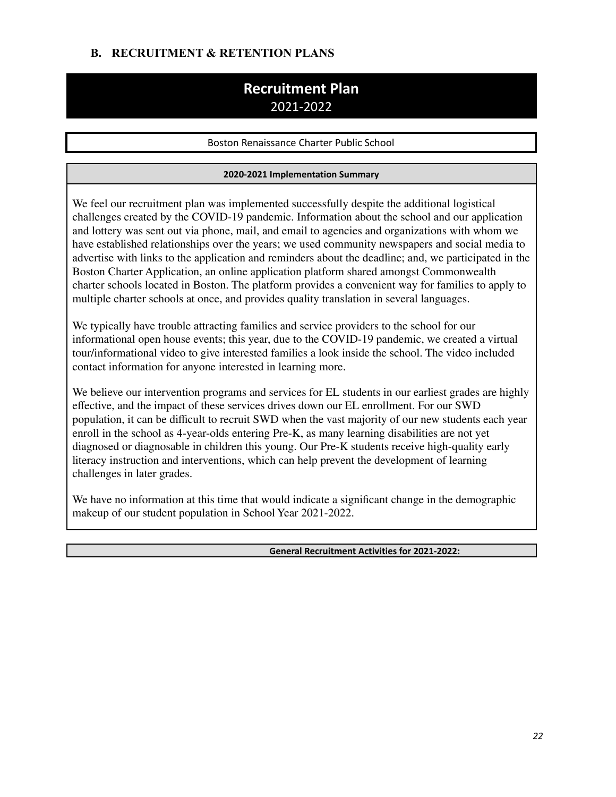## **B. RECRUITMENT & RETENTION PLANS**

# **Recruitment Plan** 2021-2022

Boston Renaissance Charter Public School

#### **2020-2021 Implementation Summary**

We feel our recruitment plan was implemented successfully despite the additional logistical challenges created by the COVID-19 pandemic. Information about the school and our application and lottery was sent out via phone, mail, and email to agencies and organizations with whom we have established relationships over the years; we used community newspapers and social media to advertise with links to the application and reminders about the deadline; and, we participated in the Boston Charter Application, an online application platform shared amongst Commonwealth charter schools located in Boston. The platform provides a convenient way for families to apply to multiple charter schools at once, and provides quality translation in several languages.

We typically have trouble attracting families and service providers to the school for our informational open house events; this year, due to the COVID-19 pandemic, we created a virtual tour/informational video to give interested families a look inside the school. The video included contact information for anyone interested in learning more.

We believe our intervention programs and services for EL students in our earliest grades are highly effective, and the impact of these services drives down our EL enrollment. For our SWD population, it can be difficult to recruit SWD when the vast majority of our new students each year enroll in the school as 4-year-olds entering Pre-K, as many learning disabilities are not yet diagnosed or diagnosable in children this young. Our Pre-K students receive high-quality early literacy instruction and interventions, which can help prevent the development of learning challenges in later grades.

We have no information at this time that would indicate a significant change in the demographic makeup of our student population in School Year 2021-2022.

**General Recruitment Activities for 2021-2022:**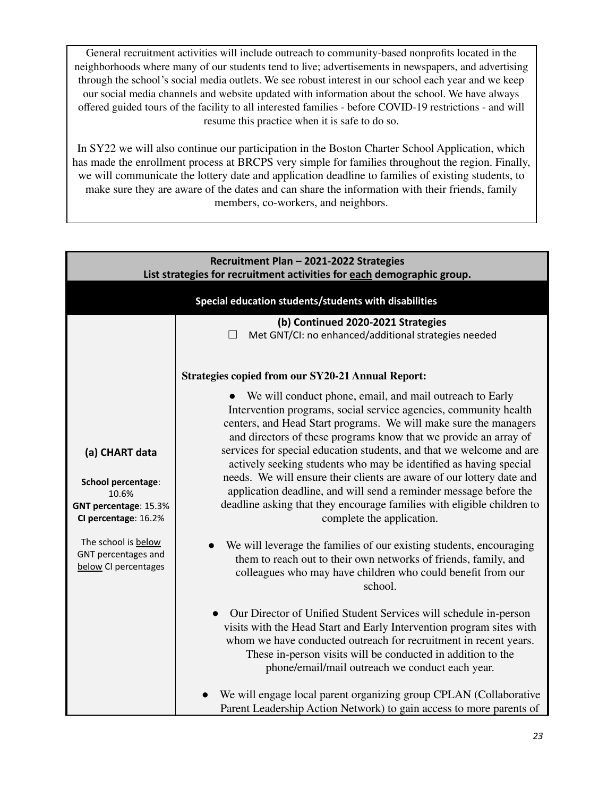General recruitment activities will include outreach to community-based nonprofits located in the neighborhoods where many of our students tend to live; advertisements in newspapers, and advertising through the school's social media outlets. We see robust interest in our school each year and we keep our social media channels and website updated with information about the school. We have always offered guided tours of the facility to all interested families - before COVID-19 restrictions - and will resume this practice when it is safe to do so.

In SY22 we will also continue our participation in the Boston Charter School Application, which has made the enrollment process at BRCPS very simple for families throughout the region. Finally, we will communicate the lottery date and application deadline to families of existing students, to make sure they are aware of the dates and can share the information with their friends, family members, co-workers, and neighbors.

| Recruitment Plan - 2021-2022 Strategies<br>List strategies for recruitment activities for each demographic group. |                                                                                                                                                                                                                                                                                                                                                                                                                                                                                                                                                                                                                                                                        |  |
|-------------------------------------------------------------------------------------------------------------------|------------------------------------------------------------------------------------------------------------------------------------------------------------------------------------------------------------------------------------------------------------------------------------------------------------------------------------------------------------------------------------------------------------------------------------------------------------------------------------------------------------------------------------------------------------------------------------------------------------------------------------------------------------------------|--|
|                                                                                                                   | Special education students/students with disabilities                                                                                                                                                                                                                                                                                                                                                                                                                                                                                                                                                                                                                  |  |
|                                                                                                                   | (b) Continued 2020-2021 Strategies<br>Met GNT/CI: no enhanced/additional strategies needed                                                                                                                                                                                                                                                                                                                                                                                                                                                                                                                                                                             |  |
|                                                                                                                   | <b>Strategies copied from our SY20-21 Annual Report:</b>                                                                                                                                                                                                                                                                                                                                                                                                                                                                                                                                                                                                               |  |
| (a) CHART data<br><b>School percentage:</b><br>10.6%<br>GNT percentage: 15.3%<br>CI percentage: 16.2%             | We will conduct phone, email, and mail outreach to Early<br>Intervention programs, social service agencies, community health<br>centers, and Head Start programs. We will make sure the managers<br>and directors of these programs know that we provide an array of<br>services for special education students, and that we welcome and are<br>actively seeking students who may be identified as having special<br>needs. We will ensure their clients are aware of our lottery date and<br>application deadline, and will send a reminder message before the<br>deadline asking that they encourage families with eligible children to<br>complete the application. |  |
| The school is below<br>GNT percentages and<br>below CI percentages                                                | We will leverage the families of our existing students, encouraging<br>them to reach out to their own networks of friends, family, and<br>colleagues who may have children who could benefit from our<br>school.                                                                                                                                                                                                                                                                                                                                                                                                                                                       |  |
|                                                                                                                   | Our Director of Unified Student Services will schedule in-person<br>$\bullet$<br>visits with the Head Start and Early Intervention program sites with<br>whom we have conducted outreach for recruitment in recent years.<br>These in-person visits will be conducted in addition to the<br>phone/email/mail outreach we conduct each year.                                                                                                                                                                                                                                                                                                                            |  |
|                                                                                                                   | We will engage local parent organizing group CPLAN (Collaborative<br>Parent Leadership Action Network) to gain access to more parents of                                                                                                                                                                                                                                                                                                                                                                                                                                                                                                                               |  |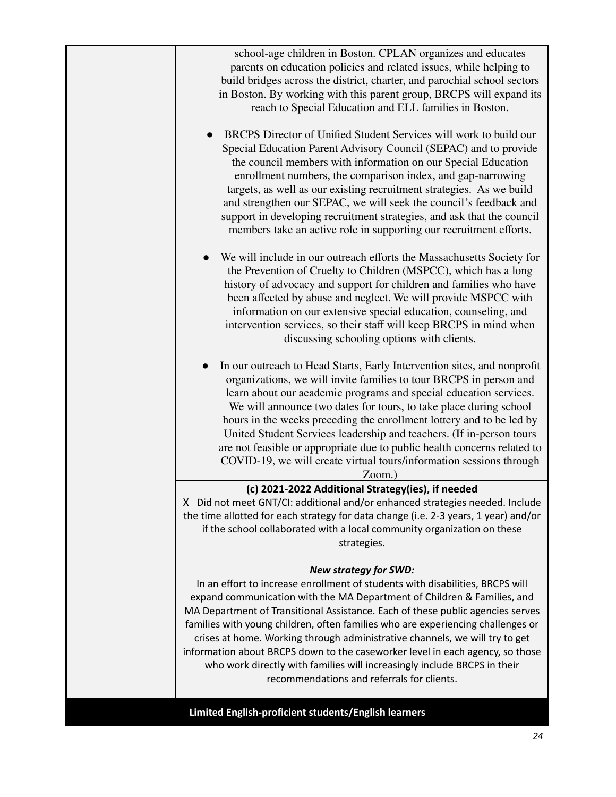|           | school-age children in Boston. CPLAN organizes and educates<br>parents on education policies and related issues, while helping to<br>build bridges across the district, charter, and parochial school sectors<br>in Boston. By working with this parent group, BRCPS will expand its<br>reach to Special Education and ELL families in Boston.                                                                                                                                                                                                                                                                                                          |
|-----------|---------------------------------------------------------------------------------------------------------------------------------------------------------------------------------------------------------------------------------------------------------------------------------------------------------------------------------------------------------------------------------------------------------------------------------------------------------------------------------------------------------------------------------------------------------------------------------------------------------------------------------------------------------|
| $\bullet$ | BRCPS Director of Unified Student Services will work to build our<br>Special Education Parent Advisory Council (SEPAC) and to provide<br>the council members with information on our Special Education<br>enrollment numbers, the comparison index, and gap-narrowing<br>targets, as well as our existing recruitment strategies. As we build<br>and strengthen our SEPAC, we will seek the council's feedback and<br>support in developing recruitment strategies, and ask that the council<br>members take an active role in supporting our recruitment efforts.                                                                                      |
|           | We will include in our outreach efforts the Massachusetts Society for<br>the Prevention of Cruelty to Children (MSPCC), which has a long<br>history of advocacy and support for children and families who have<br>been affected by abuse and neglect. We will provide MSPCC with<br>information on our extensive special education, counseling, and<br>intervention services, so their staff will keep BRCPS in mind when<br>discussing schooling options with clients.                                                                                                                                                                                 |
|           | In our outreach to Head Starts, Early Intervention sites, and nonprofit<br>organizations, we will invite families to tour BRCPS in person and<br>learn about our academic programs and special education services.<br>We will announce two dates for tours, to take place during school<br>hours in the weeks preceding the enrollment lottery and to be led by<br>United Student Services leadership and teachers. (If in-person tours<br>are not feasible or appropriate due to public health concerns related to<br>COVID-19, we will create virtual tours/information sessions through<br>Zoom.)                                                    |
|           | (c) 2021-2022 Additional Strategy(ies), if needed<br>X Did not meet GNT/CI: additional and/or enhanced strategies needed. Include<br>the time allotted for each strategy for data change (i.e. 2-3 years, 1 year) and/or<br>if the school collaborated with a local community organization on these<br>strategies.                                                                                                                                                                                                                                                                                                                                      |
|           | <b>New strategy for SWD:</b><br>In an effort to increase enrollment of students with disabilities, BRCPS will<br>expand communication with the MA Department of Children & Families, and<br>MA Department of Transitional Assistance. Each of these public agencies serves<br>families with young children, often families who are experiencing challenges or<br>crises at home. Working through administrative channels, we will try to get<br>information about BRCPS down to the caseworker level in each agency, so those<br>who work directly with families will increasingly include BRCPS in their<br>recommendations and referrals for clients. |
|           | Limited English-proficient students/English learners                                                                                                                                                                                                                                                                                                                                                                                                                                                                                                                                                                                                    |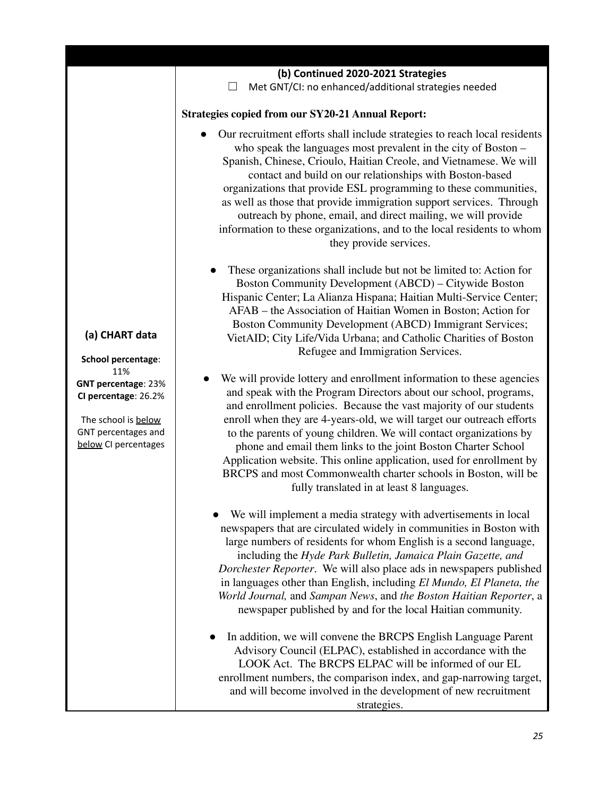|                                                                                                                                                                         | Our recruitment efforts shall include strategies to reach local residents<br>who speak the languages most prevalent in the city of Boston -<br>Spanish, Chinese, Crioulo, Haitian Creole, and Vietnamese. We will<br>contact and build on our relationships with Boston-based<br>organizations that provide ESL programming to these communities,<br>as well as those that provide immigration support services. Through<br>outreach by phone, email, and direct mailing, we will provide<br>information to these organizations, and to the local residents to whom<br>they provide services.                         |
|-------------------------------------------------------------------------------------------------------------------------------------------------------------------------|-----------------------------------------------------------------------------------------------------------------------------------------------------------------------------------------------------------------------------------------------------------------------------------------------------------------------------------------------------------------------------------------------------------------------------------------------------------------------------------------------------------------------------------------------------------------------------------------------------------------------|
| (a) CHART data<br>School percentage:<br>11%<br><b>GNT percentage: 23%</b><br>CI percentage: 26.2%<br>The school is below<br>GNT percentages and<br>below CI percentages | These organizations shall include but not be limited to: Action for<br>Boston Community Development (ABCD) – Citywide Boston<br>Hispanic Center; La Alianza Hispana; Haitian Multi-Service Center;<br>AFAB – the Association of Haitian Women in Boston; Action for<br>Boston Community Development (ABCD) Immigrant Services;<br>VietAID; City Life/Vida Urbana; and Catholic Charities of Boston<br>Refugee and Immigration Services.                                                                                                                                                                               |
|                                                                                                                                                                         | We will provide lottery and enrollment information to these agencies<br>and speak with the Program Directors about our school, programs,<br>and enrollment policies. Because the vast majority of our students<br>enroll when they are 4-years-old, we will target our outreach efforts<br>to the parents of young children. We will contact organizations by<br>phone and email them links to the joint Boston Charter School<br>Application website. This online application, used for enrollment by<br>BRCPS and most Commonwealth charter schools in Boston, will be<br>fully translated in at least 8 languages. |
|                                                                                                                                                                         | We will implement a media strategy with advertisements in local<br>newspapers that are circulated widely in communities in Boston with<br>large numbers of residents for whom English is a second language,<br>including the Hyde Park Bulletin, Jamaica Plain Gazette, and<br>Dorchester Reporter. We will also place ads in newspapers published<br>in languages other than English, including El Mundo, El Planeta, the<br>World Journal, and Sampan News, and the Boston Haitian Reporter, a<br>newspaper published by and for the local Haitian community.                                                       |
|                                                                                                                                                                         | In addition, we will convene the BRCPS English Language Parent<br>Advisory Council (ELPAC), established in accordance with the<br>LOOK Act. The BRCPS ELPAC will be informed of our EL<br>enrollment numbers, the comparison index, and gap-narrowing target,<br>and will become involved in the development of new recruitment<br>strategies.                                                                                                                                                                                                                                                                        |

**Strategies copied from our SY20-21 Annual Report:**

**(b) Continued 2020-2021 Strategies** ☐ Met GNT/CI: no enhanced/additional strategies needed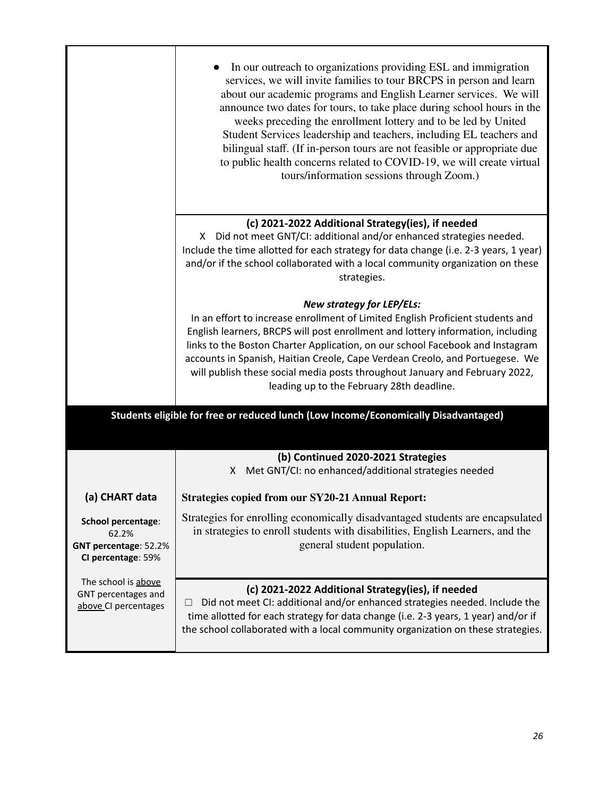|                                                                            | In our outreach to organizations providing ESL and immigration<br>services, we will invite families to tour BRCPS in person and learn<br>about our academic programs and English Learner services. We will<br>announce two dates for tours, to take place during school hours in the<br>weeks preceding the enrollment lottery and to be led by United<br>Student Services leadership and teachers, including EL teachers and<br>bilingual staff. (If in-person tours are not feasible or appropriate due<br>to public health concerns related to COVID-19, we will create virtual<br>tours/information sessions through Zoom.) |
|----------------------------------------------------------------------------|---------------------------------------------------------------------------------------------------------------------------------------------------------------------------------------------------------------------------------------------------------------------------------------------------------------------------------------------------------------------------------------------------------------------------------------------------------------------------------------------------------------------------------------------------------------------------------------------------------------------------------|
|                                                                            | (c) 2021-2022 Additional Strategy(ies), if needed<br>X Did not meet GNT/CI: additional and/or enhanced strategies needed.<br>Include the time allotted for each strategy for data change (i.e. 2-3 years, 1 year)<br>and/or if the school collaborated with a local community organization on these<br>strategies.                                                                                                                                                                                                                                                                                                              |
|                                                                            | <b>New strategy for LEP/ELs:</b><br>In an effort to increase enrollment of Limited English Proficient students and<br>English learners, BRCPS will post enrollment and lottery information, including<br>links to the Boston Charter Application, on our school Facebook and Instagram<br>accounts in Spanish, Haitian Creole, Cape Verdean Creolo, and Portuegese. We<br>will publish these social media posts throughout January and February 2022,<br>leading up to the February 28th deadline.                                                                                                                              |
|                                                                            | Students eligible for free or reduced lunch (Low Income/Economically Disadvantaged)                                                                                                                                                                                                                                                                                                                                                                                                                                                                                                                                             |
|                                                                            | (b) Continued 2020-2021 Strategies<br>Met GNT/CI: no enhanced/additional strategies needed<br>X.                                                                                                                                                                                                                                                                                                                                                                                                                                                                                                                                |
| (a) CHART data                                                             | <b>Strategies copied from our SY20-21 Annual Report:</b>                                                                                                                                                                                                                                                                                                                                                                                                                                                                                                                                                                        |
| School percentage:<br>62.2%<br>GNT percentage: 52.2%<br>CI percentage: 59% | Strategies for enrolling economically disadvantaged students are encapsulated<br>in strategies to enroll students with disabilities, English Learners, and the<br>general student population.                                                                                                                                                                                                                                                                                                                                                                                                                                   |
| The school is above<br>GNT percentages and<br>above CI percentages         | (c) 2021-2022 Additional Strategy(ies), if needed<br>Did not meet CI: additional and/or enhanced strategies needed. Include the<br>time allotted for each strategy for data change (i.e. 2-3 years, 1 year) and/or if<br>the school collaborated with a local community organization on these strategies.                                                                                                                                                                                                                                                                                                                       |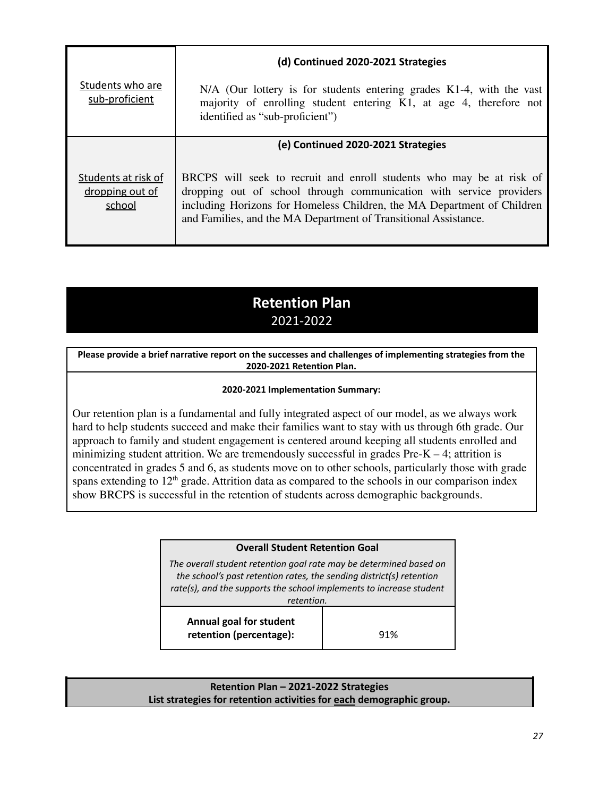|                                                  | (d) Continued 2020-2021 Strategies                                                                                                                                                                                                                                                        |
|--------------------------------------------------|-------------------------------------------------------------------------------------------------------------------------------------------------------------------------------------------------------------------------------------------------------------------------------------------|
| Students who are<br>sub-proficient               | N/A (Our lottery is for students entering grades K1-4, with the vast<br>majority of enrolling student entering K1, at age 4, therefore not<br>identified as "sub-proficient")                                                                                                             |
|                                                  | (e) Continued 2020-2021 Strategies                                                                                                                                                                                                                                                        |
| Students at risk of<br>dropping out of<br>school | BRCPS will seek to recruit and enroll students who may be at risk of<br>dropping out of school through communication with service providers<br>including Horizons for Homeless Children, the MA Department of Children<br>and Families, and the MA Department of Transitional Assistance. |

# **Retention Plan** 2021-2022

**Please provide a brief narrative report on the successes and challenges of implementing strategies from the 2020-2021 Retention Plan.**

#### **2020-2021 Implementation Summary:**

Our retention plan is a fundamental and fully integrated aspect of our model, as we always work hard to help students succeed and make their families want to stay with us through 6th grade. Our approach to family and student engagement is centered around keeping all students enrolled and minimizing student attrition. We are tremendously successful in grades  $Pre-K - 4$ ; attrition is concentrated in grades 5 and 6, as students move on to other schools, particularly those with grade spans extending to  $12<sup>th</sup>$  grade. Attrition data as compared to the schools in our comparison index show BRCPS is successful in the retention of students across demographic backgrounds.

# **Overall Student Retention Goal** *The overall student retention goal rate may be determined based on the school's past retention rates, the sending district(s) retention rate(s), and the supports the school implements to increase student retention.* **Annual goal for student retention (percentage):**  $\qquad$  91%

#### **Retention Plan – 2021-2022 Strategies List strategies for retention activities for each demographic group.**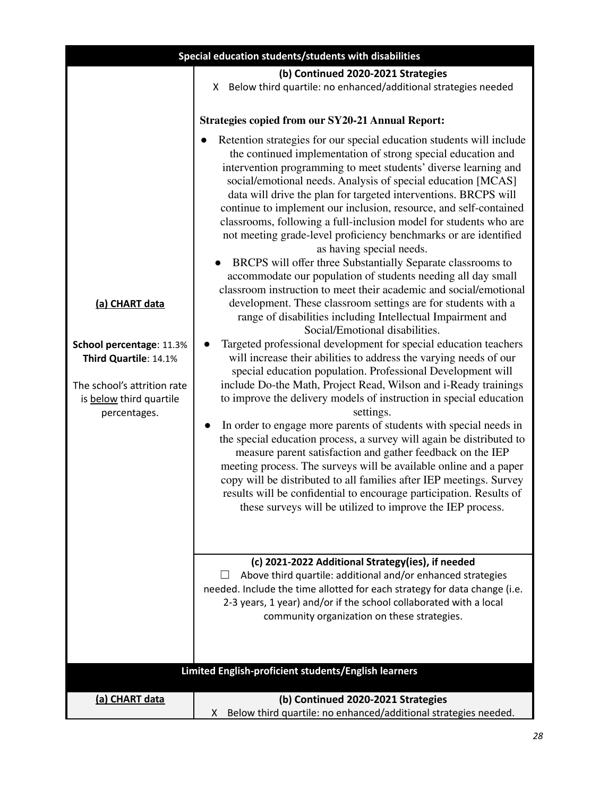| Special education students/students with disabilities                                                                                         |                                                                                                                                                                                                                                                                                                                                                                                                                                                                                                                                                                                                                                                                                                                                                                                                                                                                                                                                                                                                                                                                                                                                                                                                                                                                                                                                                                                                                                                                                                                                                                                                                                                                                                                                                                                                                           |  |
|-----------------------------------------------------------------------------------------------------------------------------------------------|---------------------------------------------------------------------------------------------------------------------------------------------------------------------------------------------------------------------------------------------------------------------------------------------------------------------------------------------------------------------------------------------------------------------------------------------------------------------------------------------------------------------------------------------------------------------------------------------------------------------------------------------------------------------------------------------------------------------------------------------------------------------------------------------------------------------------------------------------------------------------------------------------------------------------------------------------------------------------------------------------------------------------------------------------------------------------------------------------------------------------------------------------------------------------------------------------------------------------------------------------------------------------------------------------------------------------------------------------------------------------------------------------------------------------------------------------------------------------------------------------------------------------------------------------------------------------------------------------------------------------------------------------------------------------------------------------------------------------------------------------------------------------------------------------------------------------|--|
|                                                                                                                                               | (b) Continued 2020-2021 Strategies<br>X Below third quartile: no enhanced/additional strategies needed                                                                                                                                                                                                                                                                                                                                                                                                                                                                                                                                                                                                                                                                                                                                                                                                                                                                                                                                                                                                                                                                                                                                                                                                                                                                                                                                                                                                                                                                                                                                                                                                                                                                                                                    |  |
|                                                                                                                                               | <b>Strategies copied from our SY20-21 Annual Report:</b>                                                                                                                                                                                                                                                                                                                                                                                                                                                                                                                                                                                                                                                                                                                                                                                                                                                                                                                                                                                                                                                                                                                                                                                                                                                                                                                                                                                                                                                                                                                                                                                                                                                                                                                                                                  |  |
| (a) CHART data<br>School percentage: 11.3%<br>Third Quartile: 14.1%<br>The school's attrition rate<br>is below third quartile<br>percentages. | Retention strategies for our special education students will include<br>the continued implementation of strong special education and<br>intervention programming to meet students' diverse learning and<br>social/emotional needs. Analysis of special education [MCAS]<br>data will drive the plan for targeted interventions. BRCPS will<br>continue to implement our inclusion, resource, and self-contained<br>classrooms, following a full-inclusion model for students who are<br>not meeting grade-level proficiency benchmarks or are identified<br>as having special needs.<br>BRCPS will offer three Substantially Separate classrooms to<br>accommodate our population of students needing all day small<br>classroom instruction to meet their academic and social/emotional<br>development. These classroom settings are for students with a<br>range of disabilities including Intellectual Impairment and<br>Social/Emotional disabilities.<br>Targeted professional development for special education teachers<br>will increase their abilities to address the varying needs of our<br>special education population. Professional Development will<br>include Do-the Math, Project Read, Wilson and i-Ready trainings<br>to improve the delivery models of instruction in special education<br>settings.<br>In order to engage more parents of students with special needs in<br>٠<br>the special education process, a survey will again be distributed to<br>measure parent satisfaction and gather feedback on the IEP<br>meeting process. The surveys will be available online and a paper<br>copy will be distributed to all families after IEP meetings. Survey<br>results will be confidential to encourage participation. Results of<br>these surveys will be utilized to improve the IEP process. |  |
|                                                                                                                                               | (c) 2021-2022 Additional Strategy(ies), if needed<br>Above third quartile: additional and/or enhanced strategies<br>needed. Include the time allotted for each strategy for data change (i.e.<br>2-3 years, 1 year) and/or if the school collaborated with a local<br>community organization on these strategies.                                                                                                                                                                                                                                                                                                                                                                                                                                                                                                                                                                                                                                                                                                                                                                                                                                                                                                                                                                                                                                                                                                                                                                                                                                                                                                                                                                                                                                                                                                         |  |
|                                                                                                                                               | Limited English-proficient students/English learners                                                                                                                                                                                                                                                                                                                                                                                                                                                                                                                                                                                                                                                                                                                                                                                                                                                                                                                                                                                                                                                                                                                                                                                                                                                                                                                                                                                                                                                                                                                                                                                                                                                                                                                                                                      |  |
|                                                                                                                                               |                                                                                                                                                                                                                                                                                                                                                                                                                                                                                                                                                                                                                                                                                                                                                                                                                                                                                                                                                                                                                                                                                                                                                                                                                                                                                                                                                                                                                                                                                                                                                                                                                                                                                                                                                                                                                           |  |
| (a) CHART data                                                                                                                                | (b) Continued 2020-2021 Strategies<br>Below third quartile: no enhanced/additional strategies needed.<br>X                                                                                                                                                                                                                                                                                                                                                                                                                                                                                                                                                                                                                                                                                                                                                                                                                                                                                                                                                                                                                                                                                                                                                                                                                                                                                                                                                                                                                                                                                                                                                                                                                                                                                                                |  |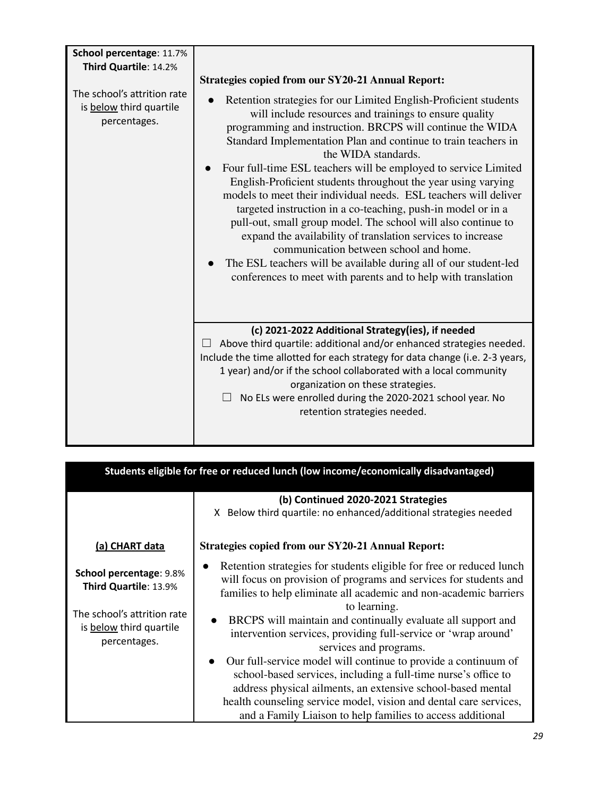| School percentage: 11.7%<br>Third Quartile: 14.2%                      |                                                                                                                                                                                                                                                                                                                                                                                                                                                                                                                                                                                                                                                                                                                                                                                                                                                                         |
|------------------------------------------------------------------------|-------------------------------------------------------------------------------------------------------------------------------------------------------------------------------------------------------------------------------------------------------------------------------------------------------------------------------------------------------------------------------------------------------------------------------------------------------------------------------------------------------------------------------------------------------------------------------------------------------------------------------------------------------------------------------------------------------------------------------------------------------------------------------------------------------------------------------------------------------------------------|
|                                                                        | <b>Strategies copied from our SY20-21 Annual Report:</b>                                                                                                                                                                                                                                                                                                                                                                                                                                                                                                                                                                                                                                                                                                                                                                                                                |
| The school's attrition rate<br>is below third quartile<br>percentages. | Retention strategies for our Limited English-Proficient students<br>will include resources and trainings to ensure quality<br>programming and instruction. BRCPS will continue the WIDA<br>Standard Implementation Plan and continue to train teachers in<br>the WIDA standards.<br>Four full-time ESL teachers will be employed to service Limited<br>English-Proficient students throughout the year using varying<br>models to meet their individual needs. ESL teachers will deliver<br>targeted instruction in a co-teaching, push-in model or in a<br>pull-out, small group model. The school will also continue to<br>expand the availability of translation services to increase<br>communication between school and home.<br>The ESL teachers will be available during all of our student-led<br>conferences to meet with parents and to help with translation |
|                                                                        | (c) 2021-2022 Additional Strategy(ies), if needed<br>Above third quartile: additional and/or enhanced strategies needed.<br>Include the time allotted for each strategy for data change (i.e. 2-3 years,<br>1 year) and/or if the school collaborated with a local community<br>organization on these strategies.<br>No ELs were enrolled during the 2020-2021 school year. No<br>retention strategies needed.                                                                                                                                                                                                                                                                                                                                                                                                                                                          |

| Students eligible for free or reduced lunch (low income/economically disadvantaged)                                               |                                                                                                                                                                                                                                                                                                                                                                                                                                                                                                                                                                                                                                                                                                                                                            |  |
|-----------------------------------------------------------------------------------------------------------------------------------|------------------------------------------------------------------------------------------------------------------------------------------------------------------------------------------------------------------------------------------------------------------------------------------------------------------------------------------------------------------------------------------------------------------------------------------------------------------------------------------------------------------------------------------------------------------------------------------------------------------------------------------------------------------------------------------------------------------------------------------------------------|--|
|                                                                                                                                   | (b) Continued 2020-2021 Strategies<br>X Below third quartile: no enhanced/additional strategies needed                                                                                                                                                                                                                                                                                                                                                                                                                                                                                                                                                                                                                                                     |  |
| (a) CHART data                                                                                                                    | <b>Strategies copied from our SY20-21 Annual Report:</b>                                                                                                                                                                                                                                                                                                                                                                                                                                                                                                                                                                                                                                                                                                   |  |
| <b>School percentage: 9.8%</b><br>Third Quartile: 13.9%<br>The school's attrition rate<br>is below third quartile<br>percentages. | Retention strategies for students eligible for free or reduced lunch<br>$\bullet$<br>will focus on provision of programs and services for students and<br>families to help eliminate all academic and non-academic barriers<br>to learning.<br>BRCPS will maintain and continually evaluate all support and<br>intervention services, providing full-service or 'wrap around'<br>services and programs.<br>Our full-service model will continue to provide a continuum of<br>$\bullet$<br>school-based services, including a full-time nurse's office to<br>address physical ailments, an extensive school-based mental<br>health counseling service model, vision and dental care services,<br>and a Family Liaison to help families to access additional |  |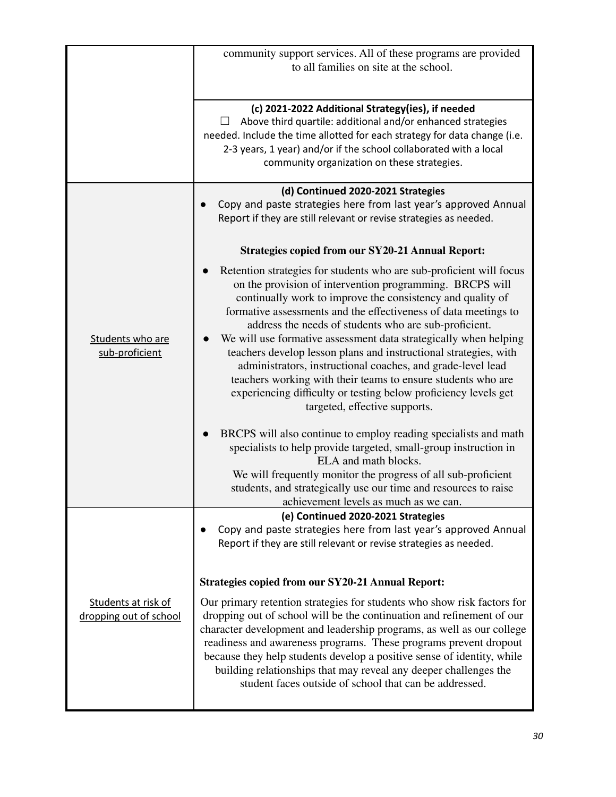|                                               | community support services. All of these programs are provided<br>to all families on site at the school.                                                                                                                                                                                                                                                                                                                                                                                                                                                                                                                                                                                                                                                                                                                                                                                                                                                                                         |  |  |
|-----------------------------------------------|--------------------------------------------------------------------------------------------------------------------------------------------------------------------------------------------------------------------------------------------------------------------------------------------------------------------------------------------------------------------------------------------------------------------------------------------------------------------------------------------------------------------------------------------------------------------------------------------------------------------------------------------------------------------------------------------------------------------------------------------------------------------------------------------------------------------------------------------------------------------------------------------------------------------------------------------------------------------------------------------------|--|--|
|                                               | (c) 2021-2022 Additional Strategy(ies), if needed<br>Above third quartile: additional and/or enhanced strategies<br>needed. Include the time allotted for each strategy for data change (i.e.<br>2-3 years, 1 year) and/or if the school collaborated with a local<br>community organization on these strategies.                                                                                                                                                                                                                                                                                                                                                                                                                                                                                                                                                                                                                                                                                |  |  |
|                                               | (d) Continued 2020-2021 Strategies<br>Copy and paste strategies here from last year's approved Annual<br>Report if they are still relevant or revise strategies as needed.                                                                                                                                                                                                                                                                                                                                                                                                                                                                                                                                                                                                                                                                                                                                                                                                                       |  |  |
| Students who are<br>sub-proficient            | <b>Strategies copied from our SY20-21 Annual Report:</b><br>Retention strategies for students who are sub-proficient will focus<br>on the provision of intervention programming. BRCPS will<br>continually work to improve the consistency and quality of<br>formative assessments and the effectiveness of data meetings to<br>address the needs of students who are sub-proficient.<br>We will use formative assessment data strategically when helping<br>teachers develop lesson plans and instructional strategies, with<br>administrators, instructional coaches, and grade-level lead<br>teachers working with their teams to ensure students who are<br>experiencing difficulty or testing below proficiency levels get<br>targeted, effective supports.<br>BRCPS will also continue to employ reading specialists and math<br>specialists to help provide targeted, small-group instruction in<br>ELA and math blocks.<br>We will frequently monitor the progress of all sub-proficient |  |  |
|                                               | students, and strategically use our time and resources to raise<br>achievement levels as much as we can.                                                                                                                                                                                                                                                                                                                                                                                                                                                                                                                                                                                                                                                                                                                                                                                                                                                                                         |  |  |
|                                               | (e) Continued 2020-2021 Strategies<br>Copy and paste strategies here from last year's approved Annual<br>Report if they are still relevant or revise strategies as needed.                                                                                                                                                                                                                                                                                                                                                                                                                                                                                                                                                                                                                                                                                                                                                                                                                       |  |  |
|                                               | <b>Strategies copied from our SY20-21 Annual Report:</b>                                                                                                                                                                                                                                                                                                                                                                                                                                                                                                                                                                                                                                                                                                                                                                                                                                                                                                                                         |  |  |
| Students at risk of<br>dropping out of school | Our primary retention strategies for students who show risk factors for<br>dropping out of school will be the continuation and refinement of our<br>character development and leadership programs, as well as our college<br>readiness and awareness programs. These programs prevent dropout<br>because they help students develop a positive sense of identity, while<br>building relationships that may reveal any deeper challenges the<br>student faces outside of school that can be addressed.                                                                                                                                                                                                                                                                                                                                                                                                                                                                                            |  |  |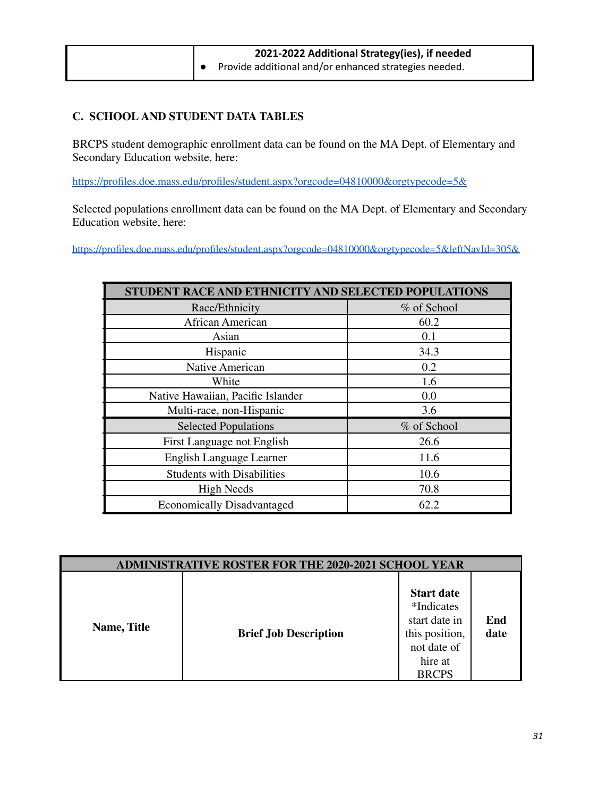| 2021-2022 Additional Strategy(ies), if needed                   |  |  |
|-----------------------------------------------------------------|--|--|
| $\bullet$ Provide additional and/or enhanced strategies needed. |  |  |

## **C. SCHOOL AND STUDENT DATA TABLES**

BRCPS student demographic enrollment data can be found on the MA Dept. of Elementary and Secondary Education website, here:

<https://profiles.doe.mass.edu/profiles/student.aspx?orgcode=04810000&orgtypecode=5&>

Selected populations enrollment data can be found on the MA Dept. of Elementary and Secondary Education website, here:

<https://profiles.doe.mass.edu/profiles/student.aspx?orgcode=04810000&orgtypecode=5&leftNavId=305&>

| <b>STUDENT RACE AND ETHNICITY AND SELECTED POPULATIONS</b> |             |  |  |
|------------------------------------------------------------|-------------|--|--|
| Race/Ethnicity                                             | % of School |  |  |
| African American                                           | 60.2        |  |  |
| Asian                                                      | 0.1         |  |  |
| Hispanic                                                   | 34.3        |  |  |
| Native American                                            | 0.2         |  |  |
| White                                                      | 1.6         |  |  |
| Native Hawaiian, Pacific Islander                          | 0.0         |  |  |
| Multi-race, non-Hispanic                                   | 3.6         |  |  |
| <b>Selected Populations</b>                                | % of School |  |  |
| First Language not English                                 | 26.6        |  |  |
| English Language Learner                                   | 11.6        |  |  |
| <b>Students with Disabilities</b>                          | 10.6        |  |  |
| <b>High Needs</b>                                          | 70.8        |  |  |
| <b>Economically Disadvantaged</b>                          | 62.2        |  |  |

| <b>ADMINISTRATIVE ROSTER FOR THE 2020-2021 SCHOOL YEAR</b> |                              |                                                                                                              |             |  |
|------------------------------------------------------------|------------------------------|--------------------------------------------------------------------------------------------------------------|-------------|--|
| Name, Title                                                | <b>Brief Job Description</b> | <b>Start date</b><br>*Indicates<br>start date in<br>this position,<br>not date of<br>hire at<br><b>BRCPS</b> | End<br>date |  |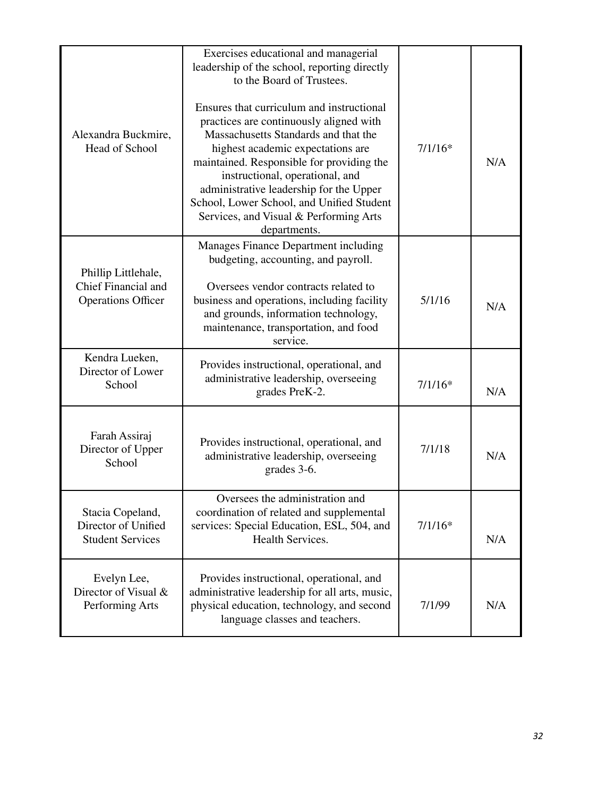| Alexandra Buckmire,<br>Head of School                                                                                                                                                                                                | Exercises educational and managerial<br>leadership of the school, reporting directly<br>to the Board of Trustees.<br>Ensures that curriculum and instructional<br>practices are continuously aligned with<br>Massachusetts Standards and that the<br>highest academic expectations are<br>maintained. Responsible for providing the<br>instructional, operational, and<br>administrative leadership for the Upper<br>School, Lower School, and Unified Student<br>Services, and Visual & Performing Arts<br>departments. | $7/1/16*$ | N/A |
|--------------------------------------------------------------------------------------------------------------------------------------------------------------------------------------------------------------------------------------|--------------------------------------------------------------------------------------------------------------------------------------------------------------------------------------------------------------------------------------------------------------------------------------------------------------------------------------------------------------------------------------------------------------------------------------------------------------------------------------------------------------------------|-----------|-----|
| Phillip Littlehale,<br>Chief Financial and<br><b>Operations Officer</b>                                                                                                                                                              | Manages Finance Department including<br>budgeting, accounting, and payroll.<br>Oversees vendor contracts related to<br>business and operations, including facility<br>and grounds, information technology,<br>maintenance, transportation, and food<br>service.                                                                                                                                                                                                                                                          | 5/1/16    | N/A |
| Kendra Lueken,<br>Director of Lower<br>School                                                                                                                                                                                        | Provides instructional, operational, and<br>administrative leadership, overseeing<br>grades PreK-2.                                                                                                                                                                                                                                                                                                                                                                                                                      | $7/1/16*$ | N/A |
| Farah Assiraj<br>Director of Upper<br>School                                                                                                                                                                                         | Provides instructional, operational, and<br>administrative leadership, overseeing<br>grades 3-6.                                                                                                                                                                                                                                                                                                                                                                                                                         | 7/1/18    | N/A |
| Stacia Copeland,<br>Director of Unified<br><b>Student Services</b>                                                                                                                                                                   | Oversees the administration and<br>coordination of related and supplemental<br>services: Special Education, ESL, 504, and<br>Health Services.                                                                                                                                                                                                                                                                                                                                                                            | $7/1/16*$ | N/A |
| Evelyn Lee,<br>Provides instructional, operational, and<br>Director of Visual &<br>administrative leadership for all arts, music,<br>Performing Arts<br>physical education, technology, and second<br>language classes and teachers. |                                                                                                                                                                                                                                                                                                                                                                                                                                                                                                                          | 7/1/99    | N/A |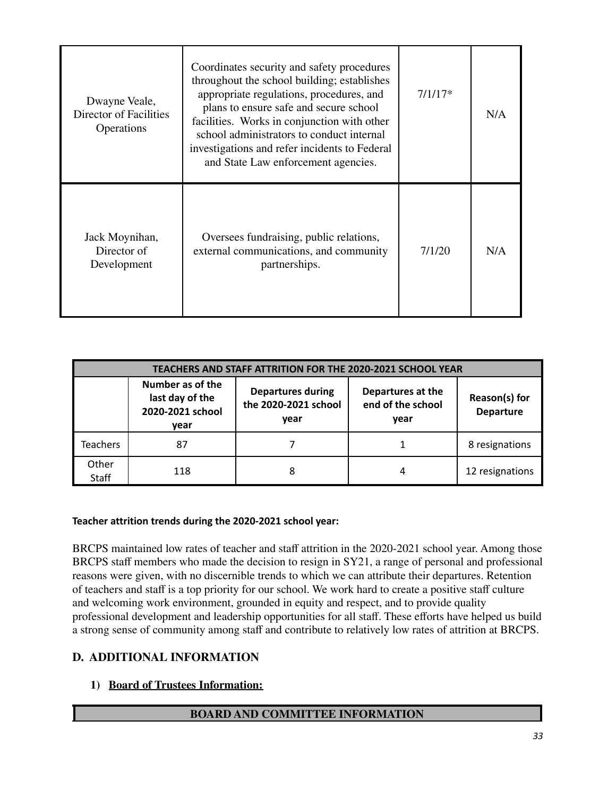| Dwayne Veale,<br>Director of Facilities<br>Operations | Coordinates security and safety procedures<br>throughout the school building; establishes<br>appropriate regulations, procedures, and<br>plans to ensure safe and secure school<br>facilities. Works in conjunction with other<br>school administrators to conduct internal<br>investigations and refer incidents to Federal<br>and State Law enforcement agencies. | $7/1/17*$ | N/A |
|-------------------------------------------------------|---------------------------------------------------------------------------------------------------------------------------------------------------------------------------------------------------------------------------------------------------------------------------------------------------------------------------------------------------------------------|-----------|-----|
| Jack Moynihan,<br>Director of<br>Development          | Oversees fundraising, public relations,<br>external communications, and community<br>partnerships.                                                                                                                                                                                                                                                                  | 7/1/20    | N/A |

| TEACHERS AND STAFF ATTRITION FOR THE 2020-2021 SCHOOL YEAR |                                                                                                                                                                                                                    |   |   |                 |
|------------------------------------------------------------|--------------------------------------------------------------------------------------------------------------------------------------------------------------------------------------------------------------------|---|---|-----------------|
|                                                            | Number as of the<br><b>Departures during</b><br>Departures at the<br>last day of the<br>Reason(s) for<br>the 2020-2021 school<br>end of the school<br>2020-2021 school<br><b>Departure</b><br>year<br>year<br>vear |   |   |                 |
| <b>Teachers</b>                                            | 87                                                                                                                                                                                                                 |   |   | 8 resignations  |
| Other<br><b>Staff</b>                                      | 118                                                                                                                                                                                                                | 8 | 4 | 12 resignations |

## **Teacher attrition trends during the 2020-2021 school year:**

BRCPS maintained low rates of teacher and staff attrition in the 2020-2021 school year. Among those BRCPS staff members who made the decision to resign in SY21, a range of personal and professional reasons were given, with no discernible trends to which we can attribute their departures. Retention of teachers and staff is a top priority for our school. We work hard to create a positive staff culture and welcoming work environment, grounded in equity and respect, and to provide quality professional development and leadership opportunities for all staff. These efforts have helped us build a strong sense of community among staff and contribute to relatively low rates of attrition at BRCPS.

## **D. ADDITIONAL INFORMATION**

## **1) Board of Trustees Information:**

## **BOARD AND COMMITTEE INFORMATION**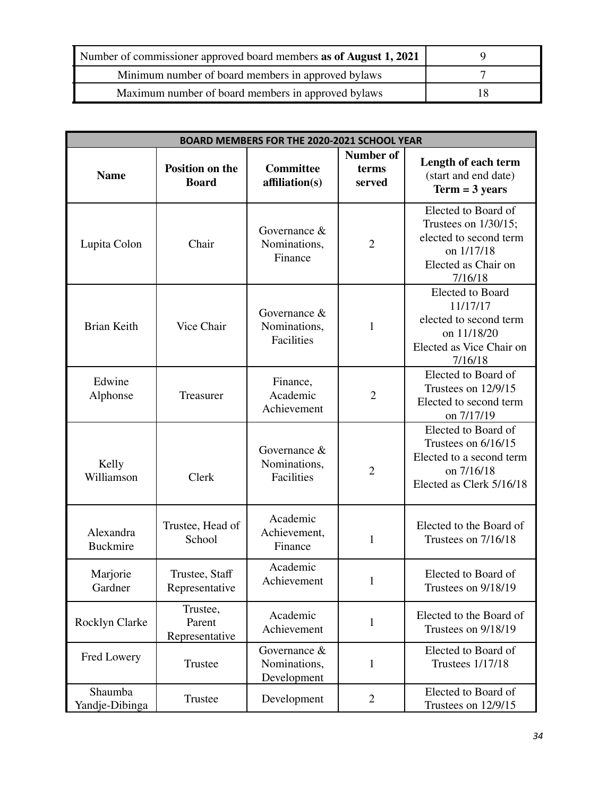| Number of commissioner approved board members as of August 1, 2021 |    |
|--------------------------------------------------------------------|----|
| Minimum number of board members in approved by laws                |    |
| Maximum number of board members in approved bylaws                 | 18 |

| BOARD MEMBERS FOR THE 2020-2021 SCHOOL YEAR |                                        |                                               |                              |                                                                                                                          |  |
|---------------------------------------------|----------------------------------------|-----------------------------------------------|------------------------------|--------------------------------------------------------------------------------------------------------------------------|--|
| <b>Name</b>                                 | <b>Position on the</b><br><b>Board</b> | <b>Committee</b><br>affiliation(s)            | Number of<br>terms<br>served | Length of each term<br>(start and end date)<br>$Term = 3 years$                                                          |  |
| Lupita Colon                                | Chair                                  | Governance &<br>Nominations,<br>Finance       | $\overline{2}$               | Elected to Board of<br>Trustees on $1/30/15$ ;<br>elected to second term<br>on 1/17/18<br>Elected as Chair on<br>7/16/18 |  |
| <b>Brian Keith</b>                          | Vice Chair                             | Governance &<br>Nominations,<br>Facilities    | 1                            | <b>Elected</b> to Board<br>11/17/17<br>elected to second term<br>on 11/18/20<br>Elected as Vice Chair on<br>7/16/18      |  |
| Edwine<br>Alphonse                          | Treasurer                              | Finance,<br>Academic<br>Achievement           | $\overline{2}$               | Elected to Board of<br>Trustees on 12/9/15<br>Elected to second term<br>on 7/17/19                                       |  |
| Kelly<br>Williamson                         | Clerk                                  | Governance &<br>Nominations,<br>Facilities    | $\overline{2}$               | Elected to Board of<br>Trustees on 6/16/15<br>Elected to a second term<br>on 7/16/18<br>Elected as Clerk 5/16/18         |  |
| Alexandra<br><b>Buckmire</b>                | Trustee, Head of<br>School             | Academic<br>Achievement,<br>Finance           | 1                            | Elected to the Board of<br>Trustees on 7/16/18                                                                           |  |
| Marjorie<br>Gardner                         | Trustee, Staff<br>Representative       | Academic<br>Achievement                       | 1                            | Elected to Board of<br>Trustees on 9/18/19                                                                               |  |
| Rocklyn Clarke                              | Trustee,<br>Parent<br>Representative   | Academic<br>Achievement                       | 1                            | Elected to the Board of<br>Trustees on 9/18/19                                                                           |  |
| Fred Lowery                                 | Trustee                                | Governance $&$<br>Nominations,<br>Development | 1                            | Elected to Board of<br><b>Trustees 1/17/18</b>                                                                           |  |
| Shaumba<br>Yandje-Dibinga                   | Trustee                                | Development                                   | $\overline{2}$               | Elected to Board of<br>Trustees on 12/9/15                                                                               |  |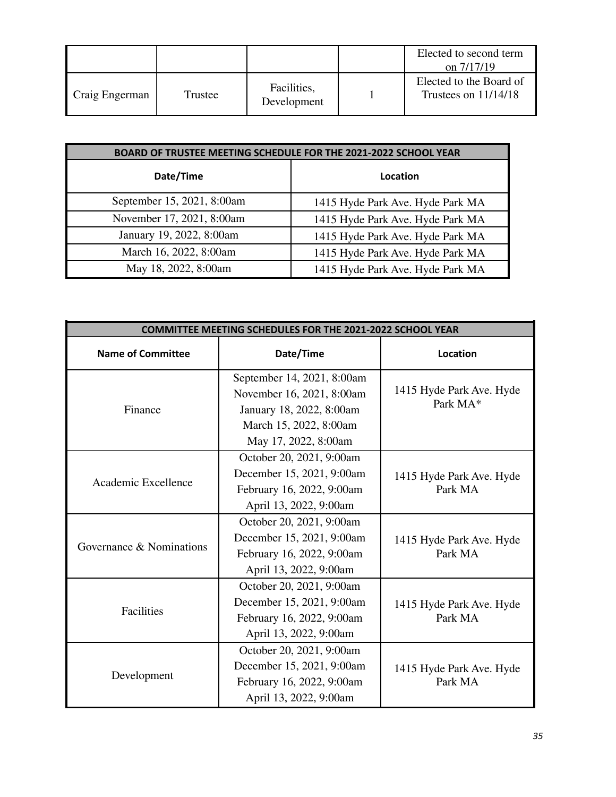|                |         |                            | Elected to second term<br>on 7/17/19              |
|----------------|---------|----------------------------|---------------------------------------------------|
| Craig Engerman | Trustee | Facilities,<br>Development | Elected to the Board of<br>Trustees on $11/14/18$ |

| BOARD OF TRUSTEE MEETING SCHEDULE FOR THE 2021-2022 SCHOOL YEAR |                                  |  |  |
|-----------------------------------------------------------------|----------------------------------|--|--|
| Date/Time                                                       | Location                         |  |  |
| September 15, 2021, 8:00am                                      | 1415 Hyde Park Ave. Hyde Park MA |  |  |
| November 17, 2021, 8:00am                                       | 1415 Hyde Park Ave. Hyde Park MA |  |  |
| January 19, 2022, 8:00am                                        | 1415 Hyde Park Ave. Hyde Park MA |  |  |
| March 16, 2022, 8:00am                                          | 1415 Hyde Park Ave. Hyde Park MA |  |  |
| May 18, 2022, 8:00am                                            | 1415 Hyde Park Ave. Hyde Park MA |  |  |

| <b>COMMITTEE MEETING SCHEDULES FOR THE 2021-2022 SCHOOL YEAR</b> |                                                                                                                                       |                                      |  |  |
|------------------------------------------------------------------|---------------------------------------------------------------------------------------------------------------------------------------|--------------------------------------|--|--|
| <b>Name of Committee</b>                                         | Date/Time                                                                                                                             | <b>Location</b>                      |  |  |
| Finance                                                          | September 14, 2021, 8:00am<br>November 16, 2021, 8:00am<br>January 18, 2022, 8:00am<br>March 15, 2022, 8:00am<br>May 17, 2022, 8:00am | 1415 Hyde Park Ave. Hyde<br>Park MA* |  |  |
| Academic Excellence                                              | October 20, 2021, 9:00am<br>December 15, 2021, 9:00am<br>February 16, 2022, 9:00am<br>April 13, 2022, 9:00am                          | 1415 Hyde Park Ave. Hyde<br>Park MA  |  |  |
| Governance & Nominations                                         | October 20, 2021, 9:00am<br>December 15, 2021, 9:00am<br>February 16, 2022, 9:00am<br>April 13, 2022, 9:00am                          | 1415 Hyde Park Ave. Hyde<br>Park MA  |  |  |
| Facilities                                                       | October 20, 2021, 9:00am<br>December 15, 2021, 9:00am<br>February 16, 2022, 9:00am<br>April 13, 2022, 9:00am                          | 1415 Hyde Park Ave. Hyde<br>Park MA  |  |  |
| Development                                                      | October 20, 2021, 9:00am<br>December 15, 2021, 9:00am<br>February 16, 2022, 9:00am<br>April 13, 2022, 9:00am                          | 1415 Hyde Park Ave. Hyde<br>Park MA  |  |  |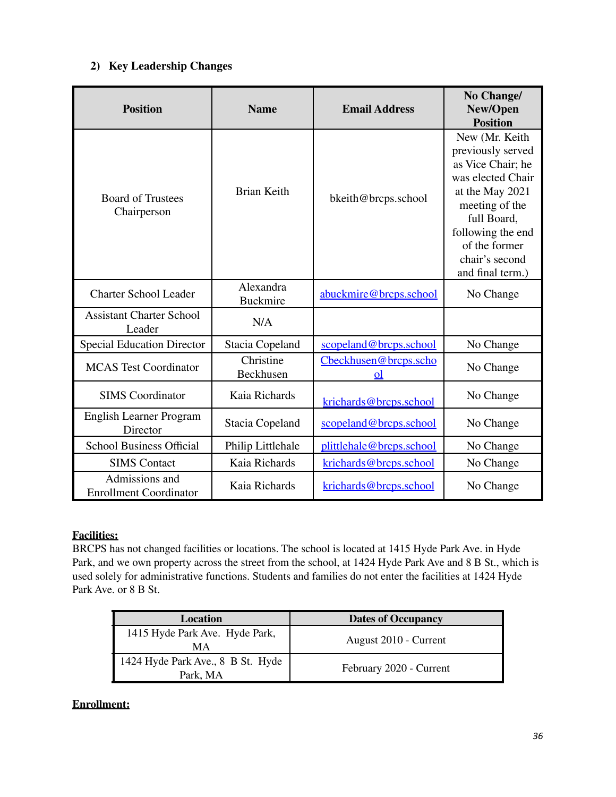## **2) Key Leadership Changes**

| <b>Position</b>                                 | <b>Name</b>                  | <b>Email Address</b>              | No Change/<br>New/Open<br><b>Position</b>                                                                                                                                                                     |
|-------------------------------------------------|------------------------------|-----------------------------------|---------------------------------------------------------------------------------------------------------------------------------------------------------------------------------------------------------------|
| <b>Board of Trustees</b><br>Chairperson         | <b>Brian Keith</b>           | bkeith@brcps.school               | New (Mr. Keith<br>previously served<br>as Vice Chair; he<br>was elected Chair<br>at the May 2021<br>meeting of the<br>full Board,<br>following the end<br>of the former<br>chair's second<br>and final term.) |
| <b>Charter School Leader</b>                    | Alexandra<br><b>Buckmire</b> | abuckmire@brcps.school            | No Change                                                                                                                                                                                                     |
| <b>Assistant Charter School</b><br>Leader       | N/A                          |                                   |                                                                                                                                                                                                               |
| <b>Special Education Director</b>               | Stacia Copeland              | scopeland@brcps.school            | No Change                                                                                                                                                                                                     |
| <b>MCAS Test Coordinator</b>                    | Christine<br>Beckhusen       | Cbeckhusen@brcps.scho<br>$\Omega$ | No Change                                                                                                                                                                                                     |
| <b>SIMS</b> Coordinator                         | Kaia Richards                | krichards@brcps.school            | No Change                                                                                                                                                                                                     |
| <b>English Learner Program</b><br>Director      | Stacia Copeland              | scopeland@brcps.school            | No Change                                                                                                                                                                                                     |
| <b>School Business Official</b>                 | Philip Littlehale            | plittlehale@brcps.school          | No Change                                                                                                                                                                                                     |
| <b>SIMS</b> Contact                             | Kaia Richards                | krichards@brcps.school            | No Change                                                                                                                                                                                                     |
| Admissions and<br><b>Enrollment Coordinator</b> | Kaia Richards                | krichards@brcps.school            | No Change                                                                                                                                                                                                     |

## **Facilities:**

BRCPS has not changed facilities or locations. The school is located at 1415 Hyde Park Ave. in Hyde Park, and we own property across the street from the school, at 1424 Hyde Park Ave and 8 B St., which is used solely for administrative functions. Students and families do not enter the facilities at 1424 Hyde Park Ave. or 8 B St.

| Location                                      | <b>Dates of Occupancy</b> |
|-----------------------------------------------|---------------------------|
| 1415 Hyde Park Ave. Hyde Park,<br>MА          | August 2010 - Current     |
| 1424 Hyde Park Ave., 8 B St. Hyde<br>Park, MA | February 2020 - Current   |

## **Enrollment:**